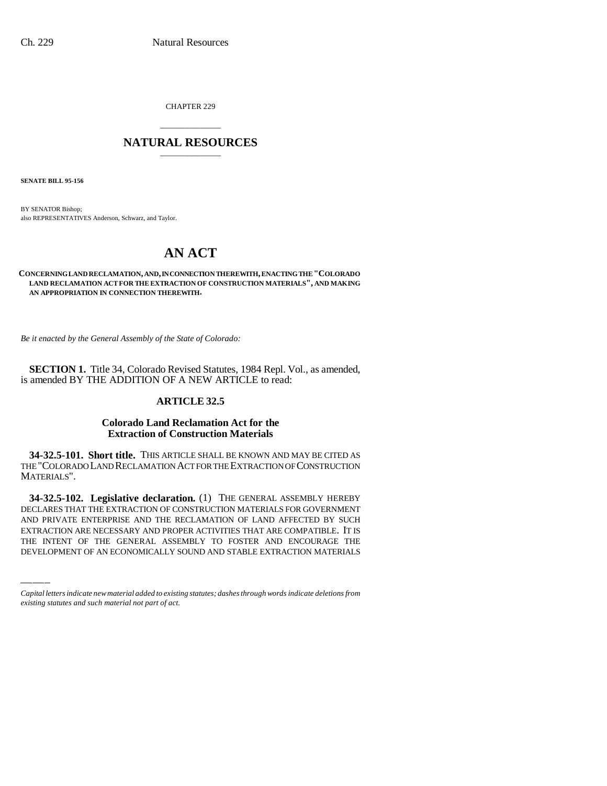CHAPTER 229

# \_\_\_\_\_\_\_\_\_\_\_\_\_\_\_ **NATURAL RESOURCES** \_\_\_\_\_\_\_\_\_\_\_\_\_\_\_

**SENATE BILL 95-156**

BY SENATOR Bishop; also REPRESENTATIVES Anderson, Schwarz, and Taylor.

# **AN ACT**

#### **CONCERNING LAND RECLAMATION, AND, IN CONNECTION THEREWITH, ENACTING THE "COLORADO LAND RECLAMATION ACT FOR THE EXTRACTION OF CONSTRUCTION MATERIALS", AND MAKING AN APPROPRIATION IN CONNECTION THEREWITH.**

*Be it enacted by the General Assembly of the State of Colorado:*

**SECTION 1.** Title 34, Colorado Revised Statutes, 1984 Repl. Vol., as amended, is amended BY THE ADDITION OF A NEW ARTICLE to read:

# **ARTICLE 32.5**

### **Colorado Land Reclamation Act for the Extraction of Construction Materials**

**34-32.5-101. Short title.** THIS ARTICLE SHALL BE KNOWN AND MAY BE CITED AS THE "COLORADO LAND RECLAMATION ACT FOR THE EXTRACTION OF CONSTRUCTION MATERIALS".

DECLARES THAT THE EXTRACTION OF CONSTRUCTION MATERIALS FOR GOVERNMENT **34-32.5-102. Legislative declaration.** (1) THE GENERAL ASSEMBLY HEREBY AND PRIVATE ENTERPRISE AND THE RECLAMATION OF LAND AFFECTED BY SUCH EXTRACTION ARE NECESSARY AND PROPER ACTIVITIES THAT ARE COMPATIBLE. IT IS THE INTENT OF THE GENERAL ASSEMBLY TO FOSTER AND ENCOURAGE THE DEVELOPMENT OF AN ECONOMICALLY SOUND AND STABLE EXTRACTION MATERIALS

*Capital letters indicate new material added to existing statutes; dashes through words indicate deletions from existing statutes and such material not part of act.*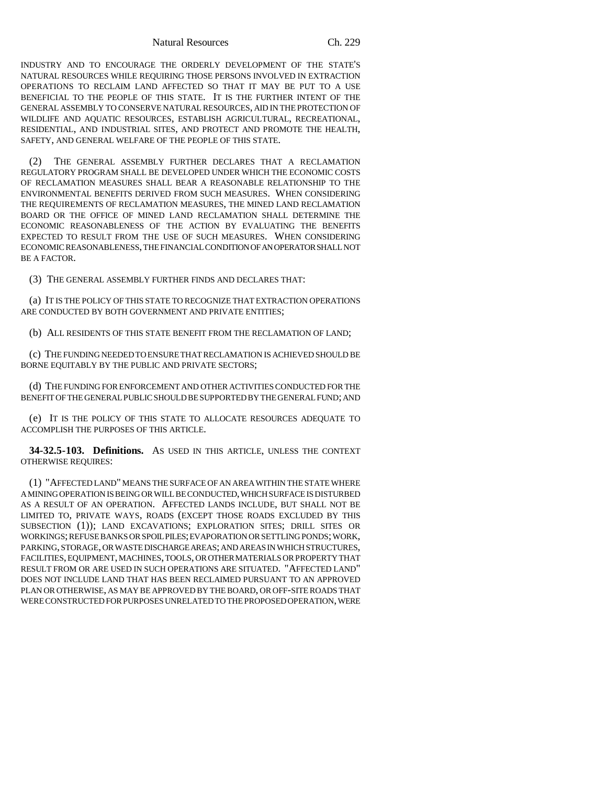Natural Resources Ch. 229

INDUSTRY AND TO ENCOURAGE THE ORDERLY DEVELOPMENT OF THE STATE'S NATURAL RESOURCES WHILE REQUIRING THOSE PERSONS INVOLVED IN EXTRACTION OPERATIONS TO RECLAIM LAND AFFECTED SO THAT IT MAY BE PUT TO A USE BENEFICIAL TO THE PEOPLE OF THIS STATE. IT IS THE FURTHER INTENT OF THE GENERAL ASSEMBLY TO CONSERVE NATURAL RESOURCES, AID IN THE PROTECTION OF WILDLIFE AND AQUATIC RESOURCES, ESTABLISH AGRICULTURAL, RECREATIONAL, RESIDENTIAL, AND INDUSTRIAL SITES, AND PROTECT AND PROMOTE THE HEALTH, SAFETY, AND GENERAL WELFARE OF THE PEOPLE OF THIS STATE.

(2) THE GENERAL ASSEMBLY FURTHER DECLARES THAT A RECLAMATION REGULATORY PROGRAM SHALL BE DEVELOPED UNDER WHICH THE ECONOMIC COSTS OF RECLAMATION MEASURES SHALL BEAR A REASONABLE RELATIONSHIP TO THE ENVIRONMENTAL BENEFITS DERIVED FROM SUCH MEASURES. WHEN CONSIDERING THE REQUIREMENTS OF RECLAMATION MEASURES, THE MINED LAND RECLAMATION BOARD OR THE OFFICE OF MINED LAND RECLAMATION SHALL DETERMINE THE ECONOMIC REASONABLENESS OF THE ACTION BY EVALUATING THE BENEFITS EXPECTED TO RESULT FROM THE USE OF SUCH MEASURES. WHEN CONSIDERING ECONOMIC REASONABLENESS, THE FINANCIAL CONDITION OF AN OPERATOR SHALL NOT BE A FACTOR.

(3) THE GENERAL ASSEMBLY FURTHER FINDS AND DECLARES THAT:

(a) IT IS THE POLICY OF THIS STATE TO RECOGNIZE THAT EXTRACTION OPERATIONS ARE CONDUCTED BY BOTH GOVERNMENT AND PRIVATE ENTITIES;

(b) ALL RESIDENTS OF THIS STATE BENEFIT FROM THE RECLAMATION OF LAND;

(c) THE FUNDING NEEDED TO ENSURE THAT RECLAMATION IS ACHIEVED SHOULD BE BORNE EQUITABLY BY THE PUBLIC AND PRIVATE SECTORS;

(d) THE FUNDING FOR ENFORCEMENT AND OTHER ACTIVITIES CONDUCTED FOR THE BENEFIT OF THE GENERAL PUBLIC SHOULD BE SUPPORTED BY THE GENERAL FUND; AND

(e) IT IS THE POLICY OF THIS STATE TO ALLOCATE RESOURCES ADEQUATE TO ACCOMPLISH THE PURPOSES OF THIS ARTICLE.

**34-32.5-103. Definitions.** AS USED IN THIS ARTICLE, UNLESS THE CONTEXT OTHERWISE REQUIRES:

(1) "AFFECTED LAND" MEANS THE SURFACE OF AN AREA WITHIN THE STATE WHERE A MINING OPERATION IS BEING OR WILL BE CONDUCTED, WHICH SURFACE IS DISTURBED AS A RESULT OF AN OPERATION. AFFECTED LANDS INCLUDE, BUT SHALL NOT BE LIMITED TO, PRIVATE WAYS, ROADS (EXCEPT THOSE ROADS EXCLUDED BY THIS SUBSECTION (1)); LAND EXCAVATIONS; EXPLORATION SITES; DRILL SITES OR WORKINGS; REFUSE BANKS OR SPOIL PILES; EVAPORATION OR SETTLING PONDS; WORK, PARKING, STORAGE, OR WASTE DISCHARGE AREAS; AND AREAS IN WHICH STRUCTURES, FACILITIES, EQUIPMENT, MACHINES, TOOLS, OR OTHER MATERIALS OR PROPERTY THAT RESULT FROM OR ARE USED IN SUCH OPERATIONS ARE SITUATED. "AFFECTED LAND" DOES NOT INCLUDE LAND THAT HAS BEEN RECLAIMED PURSUANT TO AN APPROVED PLAN OR OTHERWISE, AS MAY BE APPROVED BY THE BOARD, OR OFF-SITE ROADS THAT WERE CONSTRUCTED FOR PURPOSES UNRELATED TO THE PROPOSED OPERATION, WERE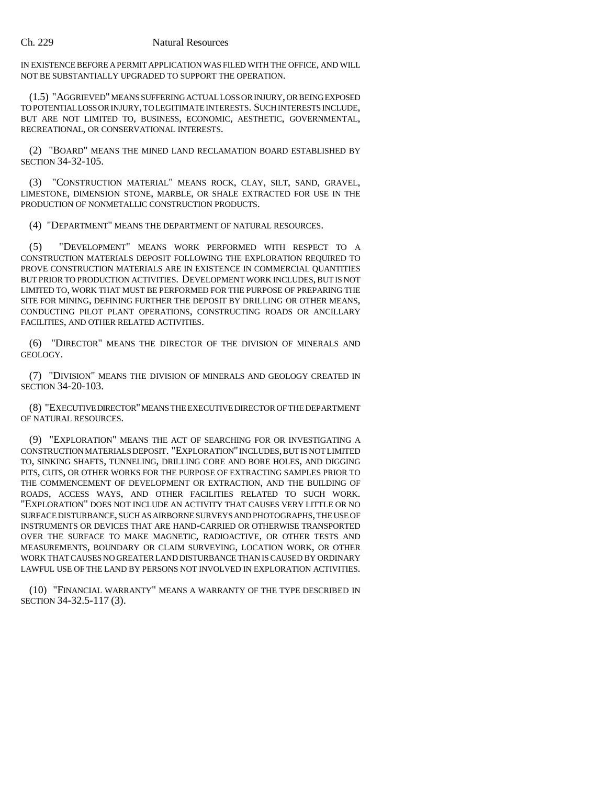IN EXISTENCE BEFORE A PERMIT APPLICATION WAS FILED WITH THE OFFICE, AND WILL NOT BE SUBSTANTIALLY UPGRADED TO SUPPORT THE OPERATION.

(1.5) "AGGRIEVED" MEANS SUFFERING ACTUAL LOSS OR INJURY, OR BEING EXPOSED TO POTENTIAL LOSS OR INJURY, TO LEGITIMATE INTERESTS. SUCH INTERESTS INCLUDE, BUT ARE NOT LIMITED TO, BUSINESS, ECONOMIC, AESTHETIC, GOVERNMENTAL, RECREATIONAL, OR CONSERVATIONAL INTERESTS.

(2) "BOARD" MEANS THE MINED LAND RECLAMATION BOARD ESTABLISHED BY SECTION 34-32-105.

(3) "CONSTRUCTION MATERIAL" MEANS ROCK, CLAY, SILT, SAND, GRAVEL, LIMESTONE, DIMENSION STONE, MARBLE, OR SHALE EXTRACTED FOR USE IN THE PRODUCTION OF NONMETALLIC CONSTRUCTION PRODUCTS.

(4) "DEPARTMENT" MEANS THE DEPARTMENT OF NATURAL RESOURCES.

(5) "DEVELOPMENT" MEANS WORK PERFORMED WITH RESPECT TO A CONSTRUCTION MATERIALS DEPOSIT FOLLOWING THE EXPLORATION REQUIRED TO PROVE CONSTRUCTION MATERIALS ARE IN EXISTENCE IN COMMERCIAL QUANTITIES BUT PRIOR TO PRODUCTION ACTIVITIES. DEVELOPMENT WORK INCLUDES, BUT IS NOT LIMITED TO, WORK THAT MUST BE PERFORMED FOR THE PURPOSE OF PREPARING THE SITE FOR MINING, DEFINING FURTHER THE DEPOSIT BY DRILLING OR OTHER MEANS, CONDUCTING PILOT PLANT OPERATIONS, CONSTRUCTING ROADS OR ANCILLARY FACILITIES, AND OTHER RELATED ACTIVITIES.

(6) "DIRECTOR" MEANS THE DIRECTOR OF THE DIVISION OF MINERALS AND GEOLOGY.

(7) "DIVISION" MEANS THE DIVISION OF MINERALS AND GEOLOGY CREATED IN SECTION 34-20-103.

(8) "EXECUTIVE DIRECTOR" MEANS THE EXECUTIVE DIRECTOR OF THE DEPARTMENT OF NATURAL RESOURCES.

(9) "EXPLORATION" MEANS THE ACT OF SEARCHING FOR OR INVESTIGATING A CONSTRUCTION MATERIALS DEPOSIT. "EXPLORATION" INCLUDES, BUT IS NOT LIMITED TO, SINKING SHAFTS, TUNNELING, DRILLING CORE AND BORE HOLES, AND DIGGING PITS, CUTS, OR OTHER WORKS FOR THE PURPOSE OF EXTRACTING SAMPLES PRIOR TO THE COMMENCEMENT OF DEVELOPMENT OR EXTRACTION, AND THE BUILDING OF ROADS, ACCESS WAYS, AND OTHER FACILITIES RELATED TO SUCH WORK. "EXPLORATION" DOES NOT INCLUDE AN ACTIVITY THAT CAUSES VERY LITTLE OR NO SURFACE DISTURBANCE, SUCH AS AIRBORNE SURVEYS AND PHOTOGRAPHS, THE USE OF INSTRUMENTS OR DEVICES THAT ARE HAND-CARRIED OR OTHERWISE TRANSPORTED OVER THE SURFACE TO MAKE MAGNETIC, RADIOACTIVE, OR OTHER TESTS AND MEASUREMENTS, BOUNDARY OR CLAIM SURVEYING, LOCATION WORK, OR OTHER WORK THAT CAUSES NO GREATER LAND DISTURBANCE THAN IS CAUSED BY ORDINARY LAWFUL USE OF THE LAND BY PERSONS NOT INVOLVED IN EXPLORATION ACTIVITIES.

(10) "FINANCIAL WARRANTY" MEANS A WARRANTY OF THE TYPE DESCRIBED IN SECTION 34-32.5-117 (3).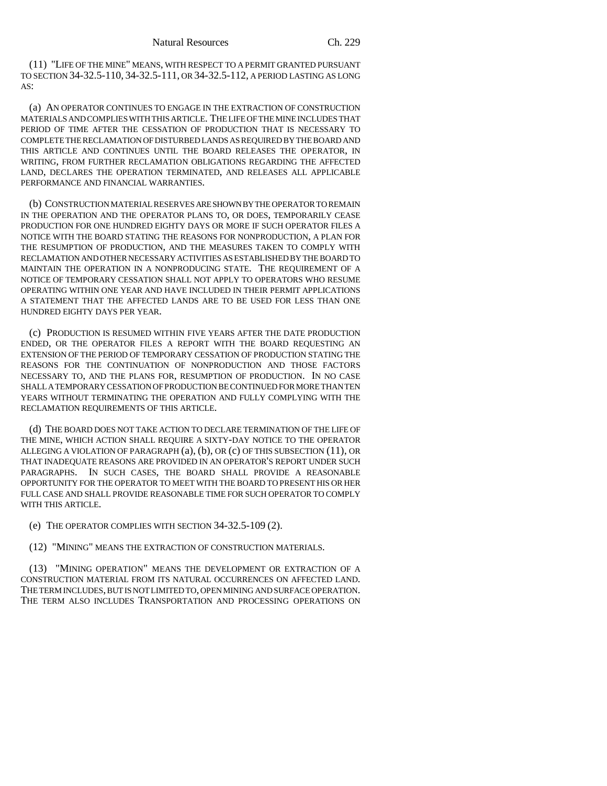(11) "LIFE OF THE MINE" MEANS, WITH RESPECT TO A PERMIT GRANTED PURSUANT TO SECTION 34-32.5-110, 34-32.5-111, OR 34-32.5-112, A PERIOD LASTING AS LONG AS:

(a) AN OPERATOR CONTINUES TO ENGAGE IN THE EXTRACTION OF CONSTRUCTION MATERIALS AND COMPLIES WITH THIS ARTICLE. THE LIFE OF THE MINE INCLUDES THAT PERIOD OF TIME AFTER THE CESSATION OF PRODUCTION THAT IS NECESSARY TO COMPLETE THE RECLAMATION OF DISTURBED LANDS AS REQUIRED BY THE BOARD AND THIS ARTICLE AND CONTINUES UNTIL THE BOARD RELEASES THE OPERATOR, IN WRITING, FROM FURTHER RECLAMATION OBLIGATIONS REGARDING THE AFFECTED LAND, DECLARES THE OPERATION TERMINATED, AND RELEASES ALL APPLICABLE PERFORMANCE AND FINANCIAL WARRANTIES.

(b) CONSTRUCTION MATERIAL RESERVES ARE SHOWN BY THE OPERATOR TO REMAIN IN THE OPERATION AND THE OPERATOR PLANS TO, OR DOES, TEMPORARILY CEASE PRODUCTION FOR ONE HUNDRED EIGHTY DAYS OR MORE IF SUCH OPERATOR FILES A NOTICE WITH THE BOARD STATING THE REASONS FOR NONPRODUCTION, A PLAN FOR THE RESUMPTION OF PRODUCTION, AND THE MEASURES TAKEN TO COMPLY WITH RECLAMATION AND OTHER NECESSARY ACTIVITIES AS ESTABLISHED BY THE BOARD TO MAINTAIN THE OPERATION IN A NONPRODUCING STATE. THE REQUIREMENT OF A NOTICE OF TEMPORARY CESSATION SHALL NOT APPLY TO OPERATORS WHO RESUME OPERATING WITHIN ONE YEAR AND HAVE INCLUDED IN THEIR PERMIT APPLICATIONS A STATEMENT THAT THE AFFECTED LANDS ARE TO BE USED FOR LESS THAN ONE HUNDRED EIGHTY DAYS PER YEAR.

(c) PRODUCTION IS RESUMED WITHIN FIVE YEARS AFTER THE DATE PRODUCTION ENDED, OR THE OPERATOR FILES A REPORT WITH THE BOARD REQUESTING AN EXTENSION OF THE PERIOD OF TEMPORARY CESSATION OF PRODUCTION STATING THE REASONS FOR THE CONTINUATION OF NONPRODUCTION AND THOSE FACTORS NECESSARY TO, AND THE PLANS FOR, RESUMPTION OF PRODUCTION. IN NO CASE SHALL A TEMPORARY CESSATION OF PRODUCTION BE CONTINUED FOR MORE THAN TEN YEARS WITHOUT TERMINATING THE OPERATION AND FULLY COMPLYING WITH THE RECLAMATION REQUIREMENTS OF THIS ARTICLE.

(d) THE BOARD DOES NOT TAKE ACTION TO DECLARE TERMINATION OF THE LIFE OF THE MINE, WHICH ACTION SHALL REQUIRE A SIXTY-DAY NOTICE TO THE OPERATOR ALLEGING A VIOLATION OF PARAGRAPH (a), (b), OR (c) OF THIS SUBSECTION (11), OR THAT INADEQUATE REASONS ARE PROVIDED IN AN OPERATOR'S REPORT UNDER SUCH PARAGRAPHS. IN SUCH CASES, THE BOARD SHALL PROVIDE A REASONABLE OPPORTUNITY FOR THE OPERATOR TO MEET WITH THE BOARD TO PRESENT HIS OR HER FULL CASE AND SHALL PROVIDE REASONABLE TIME FOR SUCH OPERATOR TO COMPLY WITH THIS ARTICLE.

(e) THE OPERATOR COMPLIES WITH SECTION 34-32.5-109 (2).

(12) "MINING" MEANS THE EXTRACTION OF CONSTRUCTION MATERIALS.

(13) "MINING OPERATION" MEANS THE DEVELOPMENT OR EXTRACTION OF A CONSTRUCTION MATERIAL FROM ITS NATURAL OCCURRENCES ON AFFECTED LAND. THE TERM INCLUDES, BUT IS NOT LIMITED TO, OPEN MINING AND SURFACE OPERATION. THE TERM ALSO INCLUDES TRANSPORTATION AND PROCESSING OPERATIONS ON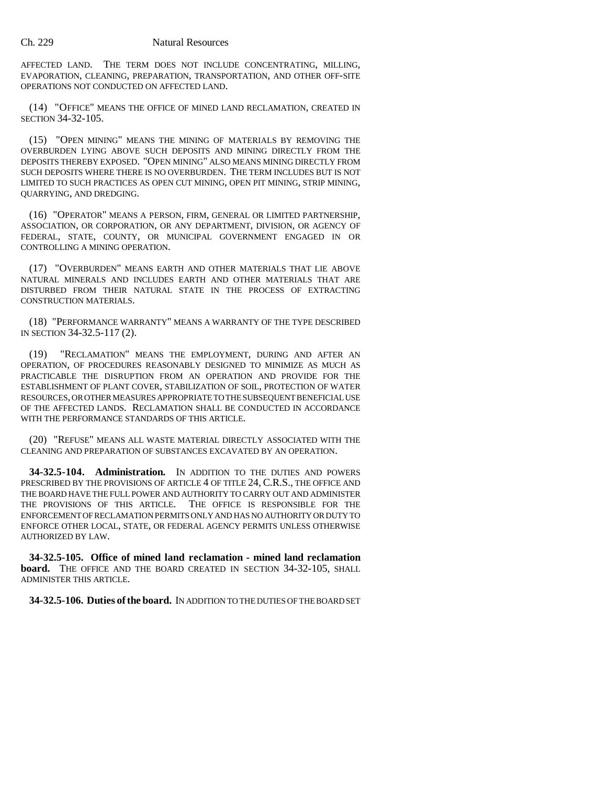AFFECTED LAND. THE TERM DOES NOT INCLUDE CONCENTRATING, MILLING, EVAPORATION, CLEANING, PREPARATION, TRANSPORTATION, AND OTHER OFF-SITE OPERATIONS NOT CONDUCTED ON AFFECTED LAND.

(14) "OFFICE" MEANS THE OFFICE OF MINED LAND RECLAMATION, CREATED IN SECTION 34-32-105.

(15) "OPEN MINING" MEANS THE MINING OF MATERIALS BY REMOVING THE OVERBURDEN LYING ABOVE SUCH DEPOSITS AND MINING DIRECTLY FROM THE DEPOSITS THEREBY EXPOSED. "OPEN MINING" ALSO MEANS MINING DIRECTLY FROM SUCH DEPOSITS WHERE THERE IS NO OVERBURDEN. THE TERM INCLUDES BUT IS NOT LIMITED TO SUCH PRACTICES AS OPEN CUT MINING, OPEN PIT MINING, STRIP MINING, QUARRYING, AND DREDGING.

(16) "OPERATOR" MEANS A PERSON, FIRM, GENERAL OR LIMITED PARTNERSHIP, ASSOCIATION, OR CORPORATION, OR ANY DEPARTMENT, DIVISION, OR AGENCY OF FEDERAL, STATE, COUNTY, OR MUNICIPAL GOVERNMENT ENGAGED IN OR CONTROLLING A MINING OPERATION.

(17) "OVERBURDEN" MEANS EARTH AND OTHER MATERIALS THAT LIE ABOVE NATURAL MINERALS AND INCLUDES EARTH AND OTHER MATERIALS THAT ARE DISTURBED FROM THEIR NATURAL STATE IN THE PROCESS OF EXTRACTING CONSTRUCTION MATERIALS.

(18) "PERFORMANCE WARRANTY" MEANS A WARRANTY OF THE TYPE DESCRIBED IN SECTION 34-32.5-117 (2).

(19) "RECLAMATION" MEANS THE EMPLOYMENT, DURING AND AFTER AN OPERATION, OF PROCEDURES REASONABLY DESIGNED TO MINIMIZE AS MUCH AS PRACTICABLE THE DISRUPTION FROM AN OPERATION AND PROVIDE FOR THE ESTABLISHMENT OF PLANT COVER, STABILIZATION OF SOIL, PROTECTION OF WATER RESOURCES, OR OTHER MEASURES APPROPRIATE TO THE SUBSEQUENT BENEFICIAL USE OF THE AFFECTED LANDS. RECLAMATION SHALL BE CONDUCTED IN ACCORDANCE WITH THE PERFORMANCE STANDARDS OF THIS ARTICLE.

(20) "REFUSE" MEANS ALL WASTE MATERIAL DIRECTLY ASSOCIATED WITH THE CLEANING AND PREPARATION OF SUBSTANCES EXCAVATED BY AN OPERATION.

**34-32.5-104. Administration.** IN ADDITION TO THE DUTIES AND POWERS PRESCRIBED BY THE PROVISIONS OF ARTICLE 4 OF TITLE 24, C.R.S., THE OFFICE AND THE BOARD HAVE THE FULL POWER AND AUTHORITY TO CARRY OUT AND ADMINISTER THE PROVISIONS OF THIS ARTICLE. THE OFFICE IS RESPONSIBLE FOR THE ENFORCEMENT OF RECLAMATION PERMITS ONLY AND HAS NO AUTHORITY OR DUTY TO ENFORCE OTHER LOCAL, STATE, OR FEDERAL AGENCY PERMITS UNLESS OTHERWISE AUTHORIZED BY LAW.

**34-32.5-105. Office of mined land reclamation - mined land reclamation board.** THE OFFICE AND THE BOARD CREATED IN SECTION 34-32-105, SHALL ADMINISTER THIS ARTICLE.

**34-32.5-106. Duties of the board.** IN ADDITION TO THE DUTIES OF THE BOARD SET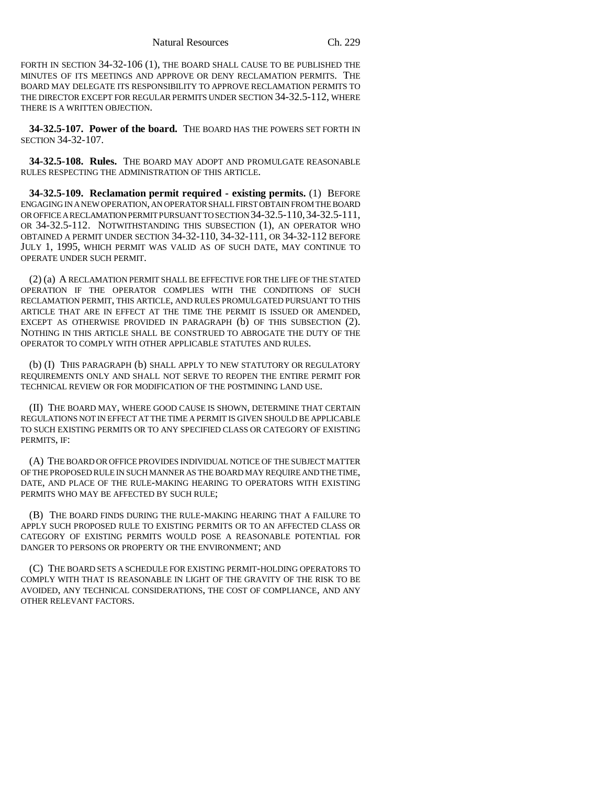FORTH IN SECTION 34-32-106 (1), THE BOARD SHALL CAUSE TO BE PUBLISHED THE MINUTES OF ITS MEETINGS AND APPROVE OR DENY RECLAMATION PERMITS. THE BOARD MAY DELEGATE ITS RESPONSIBILITY TO APPROVE RECLAMATION PERMITS TO THE DIRECTOR EXCEPT FOR REGULAR PERMITS UNDER SECTION 34-32.5-112, WHERE THERE IS A WRITTEN OBJECTION.

**34-32.5-107. Power of the board.** THE BOARD HAS THE POWERS SET FORTH IN SECTION 34-32-107.

**34-32.5-108. Rules.** THE BOARD MAY ADOPT AND PROMULGATE REASONABLE RULES RESPECTING THE ADMINISTRATION OF THIS ARTICLE.

**34-32.5-109. Reclamation permit required - existing permits.** (1) BEFORE ENGAGING IN A NEW OPERATION, AN OPERATOR SHALL FIRST OBTAIN FROM THE BOARD OR OFFICE A RECLAMATION PERMIT PURSUANT TO SECTION 34-32.5-110,34-32.5-111, OR 34-32.5-112. NOTWITHSTANDING THIS SUBSECTION (1), AN OPERATOR WHO OBTAINED A PERMIT UNDER SECTION 34-32-110, 34-32-111, OR 34-32-112 BEFORE JULY 1, 1995, WHICH PERMIT WAS VALID AS OF SUCH DATE, MAY CONTINUE TO OPERATE UNDER SUCH PERMIT.

(2) (a) A RECLAMATION PERMIT SHALL BE EFFECTIVE FOR THE LIFE OF THE STATED OPERATION IF THE OPERATOR COMPLIES WITH THE CONDITIONS OF SUCH RECLAMATION PERMIT, THIS ARTICLE, AND RULES PROMULGATED PURSUANT TO THIS ARTICLE THAT ARE IN EFFECT AT THE TIME THE PERMIT IS ISSUED OR AMENDED, EXCEPT AS OTHERWISE PROVIDED IN PARAGRAPH (b) OF THIS SUBSECTION (2). NOTHING IN THIS ARTICLE SHALL BE CONSTRUED TO ABROGATE THE DUTY OF THE OPERATOR TO COMPLY WITH OTHER APPLICABLE STATUTES AND RULES.

(b) (I) THIS PARAGRAPH (b) SHALL APPLY TO NEW STATUTORY OR REGULATORY REQUIREMENTS ONLY AND SHALL NOT SERVE TO REOPEN THE ENTIRE PERMIT FOR TECHNICAL REVIEW OR FOR MODIFICATION OF THE POSTMINING LAND USE.

(II) THE BOARD MAY, WHERE GOOD CAUSE IS SHOWN, DETERMINE THAT CERTAIN REGULATIONS NOT IN EFFECT AT THE TIME A PERMIT IS GIVEN SHOULD BE APPLICABLE TO SUCH EXISTING PERMITS OR TO ANY SPECIFIED CLASS OR CATEGORY OF EXISTING PERMITS, IF:

(A) THE BOARD OR OFFICE PROVIDES INDIVIDUAL NOTICE OF THE SUBJECT MATTER OF THE PROPOSED RULE IN SUCH MANNER AS THE BOARD MAY REQUIRE AND THE TIME, DATE, AND PLACE OF THE RULE-MAKING HEARING TO OPERATORS WITH EXISTING PERMITS WHO MAY BE AFFECTED BY SUCH RULE;

(B) THE BOARD FINDS DURING THE RULE-MAKING HEARING THAT A FAILURE TO APPLY SUCH PROPOSED RULE TO EXISTING PERMITS OR TO AN AFFECTED CLASS OR CATEGORY OF EXISTING PERMITS WOULD POSE A REASONABLE POTENTIAL FOR DANGER TO PERSONS OR PROPERTY OR THE ENVIRONMENT; AND

(C) THE BOARD SETS A SCHEDULE FOR EXISTING PERMIT-HOLDING OPERATORS TO COMPLY WITH THAT IS REASONABLE IN LIGHT OF THE GRAVITY OF THE RISK TO BE AVOIDED, ANY TECHNICAL CONSIDERATIONS, THE COST OF COMPLIANCE, AND ANY OTHER RELEVANT FACTORS.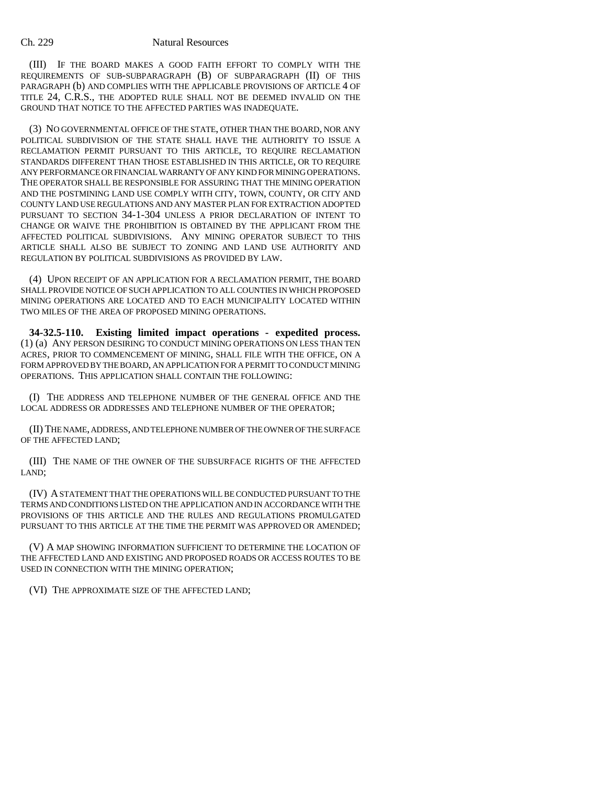(III) IF THE BOARD MAKES A GOOD FAITH EFFORT TO COMPLY WITH THE REQUIREMENTS OF SUB-SUBPARAGRAPH (B) OF SUBPARAGRAPH (II) OF THIS PARAGRAPH (b) AND COMPLIES WITH THE APPLICABLE PROVISIONS OF ARTICLE 4 OF TITLE 24, C.R.S., THE ADOPTED RULE SHALL NOT BE DEEMED INVALID ON THE GROUND THAT NOTICE TO THE AFFECTED PARTIES WAS INADEQUATE.

(3) NO GOVERNMENTAL OFFICE OF THE STATE, OTHER THAN THE BOARD, NOR ANY POLITICAL SUBDIVISION OF THE STATE SHALL HAVE THE AUTHORITY TO ISSUE A RECLAMATION PERMIT PURSUANT TO THIS ARTICLE, TO REQUIRE RECLAMATION STANDARDS DIFFERENT THAN THOSE ESTABLISHED IN THIS ARTICLE, OR TO REQUIRE ANY PERFORMANCE OR FINANCIAL WARRANTY OF ANY KIND FOR MINING OPERATIONS. THE OPERATOR SHALL BE RESPONSIBLE FOR ASSURING THAT THE MINING OPERATION AND THE POSTMINING LAND USE COMPLY WITH CITY, TOWN, COUNTY, OR CITY AND COUNTY LAND USE REGULATIONS AND ANY MASTER PLAN FOR EXTRACTION ADOPTED PURSUANT TO SECTION 34-1-304 UNLESS A PRIOR DECLARATION OF INTENT TO CHANGE OR WAIVE THE PROHIBITION IS OBTAINED BY THE APPLICANT FROM THE AFFECTED POLITICAL SUBDIVISIONS. ANY MINING OPERATOR SUBJECT TO THIS ARTICLE SHALL ALSO BE SUBJECT TO ZONING AND LAND USE AUTHORITY AND REGULATION BY POLITICAL SUBDIVISIONS AS PROVIDED BY LAW.

(4) UPON RECEIPT OF AN APPLICATION FOR A RECLAMATION PERMIT, THE BOARD SHALL PROVIDE NOTICE OF SUCH APPLICATION TO ALL COUNTIES IN WHICH PROPOSED MINING OPERATIONS ARE LOCATED AND TO EACH MUNICIPALITY LOCATED WITHIN TWO MILES OF THE AREA OF PROPOSED MINING OPERATIONS.

**34-32.5-110. Existing limited impact operations - expedited process.** (1) (a) ANY PERSON DESIRING TO CONDUCT MINING OPERATIONS ON LESS THAN TEN ACRES, PRIOR TO COMMENCEMENT OF MINING, SHALL FILE WITH THE OFFICE, ON A FORM APPROVED BY THE BOARD, AN APPLICATION FOR A PERMIT TO CONDUCT MINING OPERATIONS. THIS APPLICATION SHALL CONTAIN THE FOLLOWING:

(I) THE ADDRESS AND TELEPHONE NUMBER OF THE GENERAL OFFICE AND THE LOCAL ADDRESS OR ADDRESSES AND TELEPHONE NUMBER OF THE OPERATOR;

(II) THE NAME, ADDRESS, AND TELEPHONE NUMBER OF THE OWNER OF THE SURFACE OF THE AFFECTED LAND;

(III) THE NAME OF THE OWNER OF THE SUBSURFACE RIGHTS OF THE AFFECTED LAND;

(IV) A STATEMENT THAT THE OPERATIONS WILL BE CONDUCTED PURSUANT TO THE TERMS AND CONDITIONS LISTED ON THE APPLICATION AND IN ACCORDANCE WITH THE PROVISIONS OF THIS ARTICLE AND THE RULES AND REGULATIONS PROMULGATED PURSUANT TO THIS ARTICLE AT THE TIME THE PERMIT WAS APPROVED OR AMENDED;

(V) A MAP SHOWING INFORMATION SUFFICIENT TO DETERMINE THE LOCATION OF THE AFFECTED LAND AND EXISTING AND PROPOSED ROADS OR ACCESS ROUTES TO BE USED IN CONNECTION WITH THE MINING OPERATION;

(VI) THE APPROXIMATE SIZE OF THE AFFECTED LAND;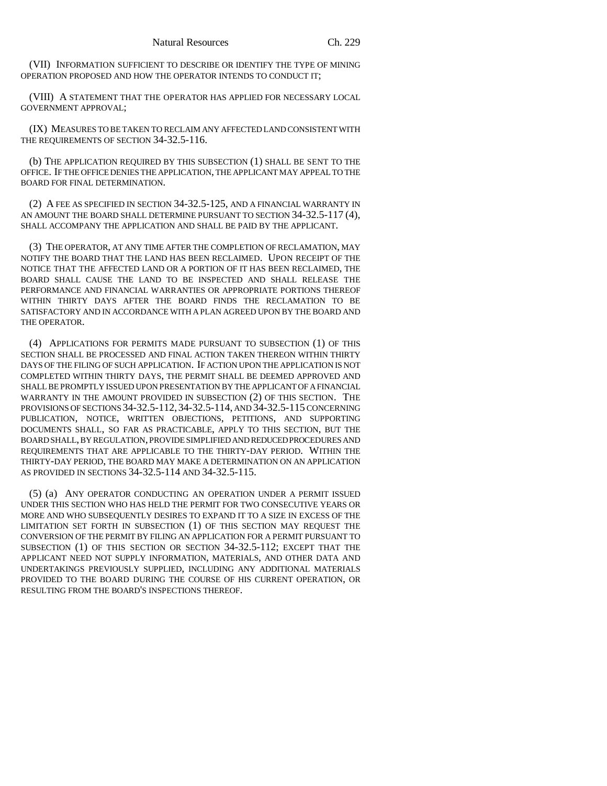(VII) INFORMATION SUFFICIENT TO DESCRIBE OR IDENTIFY THE TYPE OF MINING OPERATION PROPOSED AND HOW THE OPERATOR INTENDS TO CONDUCT IT;

(VIII) A STATEMENT THAT THE OPERATOR HAS APPLIED FOR NECESSARY LOCAL GOVERNMENT APPROVAL;

(IX) MEASURES TO BE TAKEN TO RECLAIM ANY AFFECTED LAND CONSISTENT WITH THE REQUIREMENTS OF SECTION 34-32.5-116.

(b) THE APPLICATION REQUIRED BY THIS SUBSECTION (1) SHALL BE SENT TO THE OFFICE. IF THE OFFICE DENIES THE APPLICATION, THE APPLICANT MAY APPEAL TO THE BOARD FOR FINAL DETERMINATION.

(2) A FEE AS SPECIFIED IN SECTION 34-32.5-125, AND A FINANCIAL WARRANTY IN AN AMOUNT THE BOARD SHALL DETERMINE PURSUANT TO SECTION 34-32.5-117 (4), SHALL ACCOMPANY THE APPLICATION AND SHALL BE PAID BY THE APPLICANT.

(3) THE OPERATOR, AT ANY TIME AFTER THE COMPLETION OF RECLAMATION, MAY NOTIFY THE BOARD THAT THE LAND HAS BEEN RECLAIMED. UPON RECEIPT OF THE NOTICE THAT THE AFFECTED LAND OR A PORTION OF IT HAS BEEN RECLAIMED, THE BOARD SHALL CAUSE THE LAND TO BE INSPECTED AND SHALL RELEASE THE PERFORMANCE AND FINANCIAL WARRANTIES OR APPROPRIATE PORTIONS THEREOF WITHIN THIRTY DAYS AFTER THE BOARD FINDS THE RECLAMATION TO BE SATISFACTORY AND IN ACCORDANCE WITH A PLAN AGREED UPON BY THE BOARD AND THE OPERATOR.

(4) APPLICATIONS FOR PERMITS MADE PURSUANT TO SUBSECTION (1) OF THIS SECTION SHALL BE PROCESSED AND FINAL ACTION TAKEN THEREON WITHIN THIRTY DAYS OF THE FILING OF SUCH APPLICATION. IF ACTION UPON THE APPLICATION IS NOT COMPLETED WITHIN THIRTY DAYS, THE PERMIT SHALL BE DEEMED APPROVED AND SHALL BE PROMPTLY ISSUED UPON PRESENTATION BY THE APPLICANT OF A FINANCIAL WARRANTY IN THE AMOUNT PROVIDED IN SUBSECTION (2) OF THIS SECTION. THE PROVISIONS OF SECTIONS 34-32.5-112, 34-32.5-114, AND 34-32.5-115 CONCERNING PUBLICATION, NOTICE, WRITTEN OBJECTIONS, PETITIONS, AND SUPPORTING DOCUMENTS SHALL, SO FAR AS PRACTICABLE, APPLY TO THIS SECTION, BUT THE BOARD SHALL, BY REGULATION, PROVIDE SIMPLIFIED AND REDUCED PROCEDURES AND REQUIREMENTS THAT ARE APPLICABLE TO THE THIRTY-DAY PERIOD. WITHIN THE THIRTY-DAY PERIOD, THE BOARD MAY MAKE A DETERMINATION ON AN APPLICATION AS PROVIDED IN SECTIONS 34-32.5-114 AND 34-32.5-115.

(5) (a) ANY OPERATOR CONDUCTING AN OPERATION UNDER A PERMIT ISSUED UNDER THIS SECTION WHO HAS HELD THE PERMIT FOR TWO CONSECUTIVE YEARS OR MORE AND WHO SUBSEQUENTLY DESIRES TO EXPAND IT TO A SIZE IN EXCESS OF THE LIMITATION SET FORTH IN SUBSECTION (1) OF THIS SECTION MAY REQUEST THE CONVERSION OF THE PERMIT BY FILING AN APPLICATION FOR A PERMIT PURSUANT TO SUBSECTION (1) OF THIS SECTION OR SECTION 34-32.5-112; EXCEPT THAT THE APPLICANT NEED NOT SUPPLY INFORMATION, MATERIALS, AND OTHER DATA AND UNDERTAKINGS PREVIOUSLY SUPPLIED, INCLUDING ANY ADDITIONAL MATERIALS PROVIDED TO THE BOARD DURING THE COURSE OF HIS CURRENT OPERATION, OR RESULTING FROM THE BOARD'S INSPECTIONS THEREOF.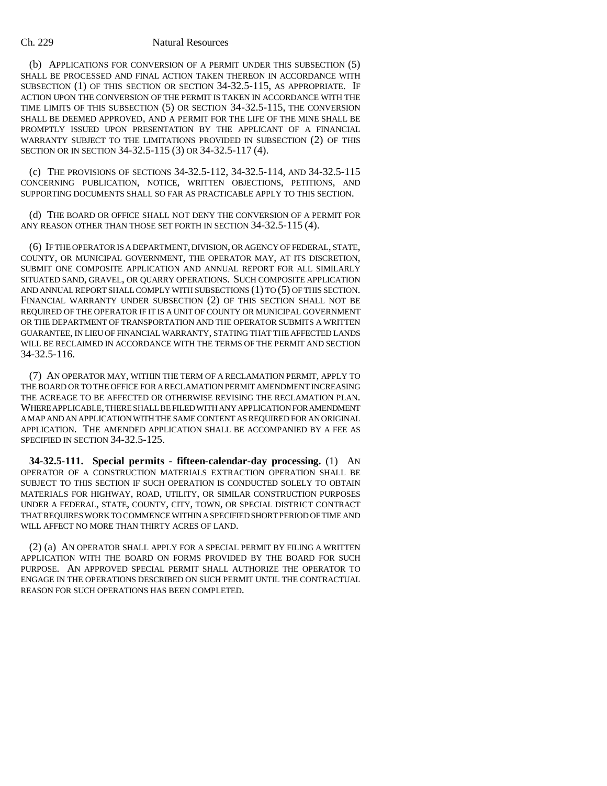(b) APPLICATIONS FOR CONVERSION OF A PERMIT UNDER THIS SUBSECTION (5) SHALL BE PROCESSED AND FINAL ACTION TAKEN THEREON IN ACCORDANCE WITH SUBSECTION (1) OF THIS SECTION OR SECTION 34-32.5-115, AS APPROPRIATE. IF ACTION UPON THE CONVERSION OF THE PERMIT IS TAKEN IN ACCORDANCE WITH THE TIME LIMITS OF THIS SUBSECTION (5) OR SECTION 34-32.5-115, THE CONVERSION SHALL BE DEEMED APPROVED, AND A PERMIT FOR THE LIFE OF THE MINE SHALL BE PROMPTLY ISSUED UPON PRESENTATION BY THE APPLICANT OF A FINANCIAL WARRANTY SUBJECT TO THE LIMITATIONS PROVIDED IN SUBSECTION (2) OF THIS SECTION OR IN SECTION 34-32.5-115 (3) OR 34-32.5-117 (4).

(c) THE PROVISIONS OF SECTIONS 34-32.5-112, 34-32.5-114, AND 34-32.5-115 CONCERNING PUBLICATION, NOTICE, WRITTEN OBJECTIONS, PETITIONS, AND SUPPORTING DOCUMENTS SHALL SO FAR AS PRACTICABLE APPLY TO THIS SECTION.

(d) THE BOARD OR OFFICE SHALL NOT DENY THE CONVERSION OF A PERMIT FOR ANY REASON OTHER THAN THOSE SET FORTH IN SECTION 34-32.5-115 (4).

(6) IF THE OPERATOR IS A DEPARTMENT, DIVISION, OR AGENCY OF FEDERAL, STATE, COUNTY, OR MUNICIPAL GOVERNMENT, THE OPERATOR MAY, AT ITS DISCRETION, SUBMIT ONE COMPOSITE APPLICATION AND ANNUAL REPORT FOR ALL SIMILARLY SITUATED SAND, GRAVEL, OR QUARRY OPERATIONS. SUCH COMPOSITE APPLICATION AND ANNUAL REPORT SHALL COMPLY WITH SUBSECTIONS (1) TO (5) OF THIS SECTION. FINANCIAL WARRANTY UNDER SUBSECTION (2) OF THIS SECTION SHALL NOT BE REQUIRED OF THE OPERATOR IF IT IS A UNIT OF COUNTY OR MUNICIPAL GOVERNMENT OR THE DEPARTMENT OF TRANSPORTATION AND THE OPERATOR SUBMITS A WRITTEN GUARANTEE, IN LIEU OF FINANCIAL WARRANTY, STATING THAT THE AFFECTED LANDS WILL BE RECLAIMED IN ACCORDANCE WITH THE TERMS OF THE PERMIT AND SECTION 34-32.5-116.

(7) AN OPERATOR MAY, WITHIN THE TERM OF A RECLAMATION PERMIT, APPLY TO THE BOARD OR TO THE OFFICE FOR A RECLAMATION PERMIT AMENDMENT INCREASING THE ACREAGE TO BE AFFECTED OR OTHERWISE REVISING THE RECLAMATION PLAN. WHERE APPLICABLE, THERE SHALL BE FILED WITH ANY APPLICATION FOR AMENDMENT A MAP AND AN APPLICATION WITH THE SAME CONTENT AS REQUIRED FOR AN ORIGINAL APPLICATION. THE AMENDED APPLICATION SHALL BE ACCOMPANIED BY A FEE AS SPECIFIED IN SECTION 34-32.5-125.

**34-32.5-111. Special permits - fifteen-calendar-day processing.** (1) AN OPERATOR OF A CONSTRUCTION MATERIALS EXTRACTION OPERATION SHALL BE SUBJECT TO THIS SECTION IF SUCH OPERATION IS CONDUCTED SOLELY TO OBTAIN MATERIALS FOR HIGHWAY, ROAD, UTILITY, OR SIMILAR CONSTRUCTION PURPOSES UNDER A FEDERAL, STATE, COUNTY, CITY, TOWN, OR SPECIAL DISTRICT CONTRACT THAT REQUIRES WORK TO COMMENCE WITHIN A SPECIFIED SHORT PERIOD OF TIME AND WILL AFFECT NO MORE THAN THIRTY ACRES OF LAND.

(2) (a) AN OPERATOR SHALL APPLY FOR A SPECIAL PERMIT BY FILING A WRITTEN APPLICATION WITH THE BOARD ON FORMS PROVIDED BY THE BOARD FOR SUCH PURPOSE. AN APPROVED SPECIAL PERMIT SHALL AUTHORIZE THE OPERATOR TO ENGAGE IN THE OPERATIONS DESCRIBED ON SUCH PERMIT UNTIL THE CONTRACTUAL REASON FOR SUCH OPERATIONS HAS BEEN COMPLETED.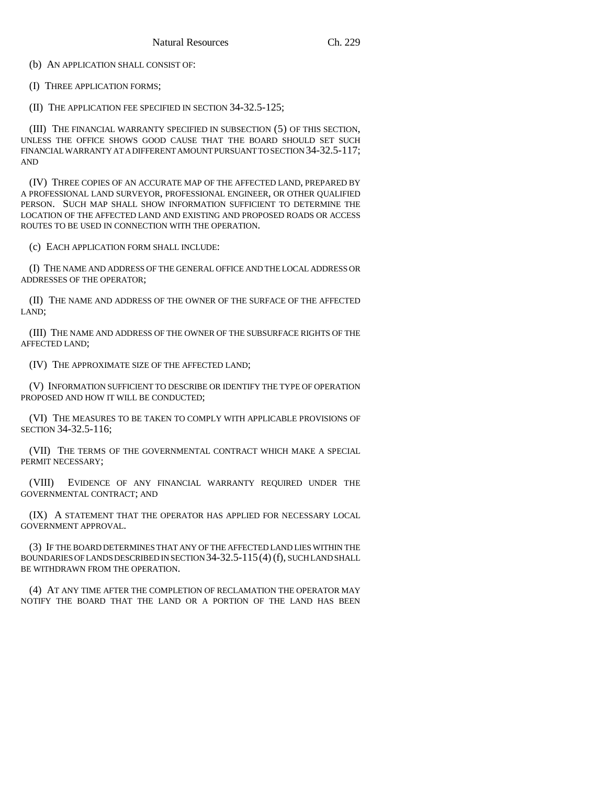(b) AN APPLICATION SHALL CONSIST OF:

(I) THREE APPLICATION FORMS;

(II) THE APPLICATION FEE SPECIFIED IN SECTION 34-32.5-125;

(III) THE FINANCIAL WARRANTY SPECIFIED IN SUBSECTION (5) OF THIS SECTION, UNLESS THE OFFICE SHOWS GOOD CAUSE THAT THE BOARD SHOULD SET SUCH FINANCIAL WARRANTY AT A DIFFERENT AMOUNT PURSUANT TO SECTION 34-32.5-117; AND

(IV) THREE COPIES OF AN ACCURATE MAP OF THE AFFECTED LAND, PREPARED BY A PROFESSIONAL LAND SURVEYOR, PROFESSIONAL ENGINEER, OR OTHER QUALIFIED PERSON. SUCH MAP SHALL SHOW INFORMATION SUFFICIENT TO DETERMINE THE LOCATION OF THE AFFECTED LAND AND EXISTING AND PROPOSED ROADS OR ACCESS ROUTES TO BE USED IN CONNECTION WITH THE OPERATION.

(c) EACH APPLICATION FORM SHALL INCLUDE:

(I) THE NAME AND ADDRESS OF THE GENERAL OFFICE AND THE LOCAL ADDRESS OR ADDRESSES OF THE OPERATOR;

(II) THE NAME AND ADDRESS OF THE OWNER OF THE SURFACE OF THE AFFECTED LAND;

(III) THE NAME AND ADDRESS OF THE OWNER OF THE SUBSURFACE RIGHTS OF THE AFFECTED LAND;

(IV) THE APPROXIMATE SIZE OF THE AFFECTED LAND;

(V) INFORMATION SUFFICIENT TO DESCRIBE OR IDENTIFY THE TYPE OF OPERATION PROPOSED AND HOW IT WILL BE CONDUCTED;

(VI) THE MEASURES TO BE TAKEN TO COMPLY WITH APPLICABLE PROVISIONS OF SECTION 34-32.5-116;

(VII) THE TERMS OF THE GOVERNMENTAL CONTRACT WHICH MAKE A SPECIAL PERMIT NECESSARY;

(VIII) EVIDENCE OF ANY FINANCIAL WARRANTY REQUIRED UNDER THE GOVERNMENTAL CONTRACT; AND

(IX) A STATEMENT THAT THE OPERATOR HAS APPLIED FOR NECESSARY LOCAL GOVERNMENT APPROVAL.

(3) IF THE BOARD DETERMINES THAT ANY OF THE AFFECTED LAND LIES WITHIN THE BOUNDARIES OF LANDS DESCRIBED IN SECTION 34-32.5-115(4) (f), SUCH LAND SHALL BE WITHDRAWN FROM THE OPERATION.

(4) AT ANY TIME AFTER THE COMPLETION OF RECLAMATION THE OPERATOR MAY NOTIFY THE BOARD THAT THE LAND OR A PORTION OF THE LAND HAS BEEN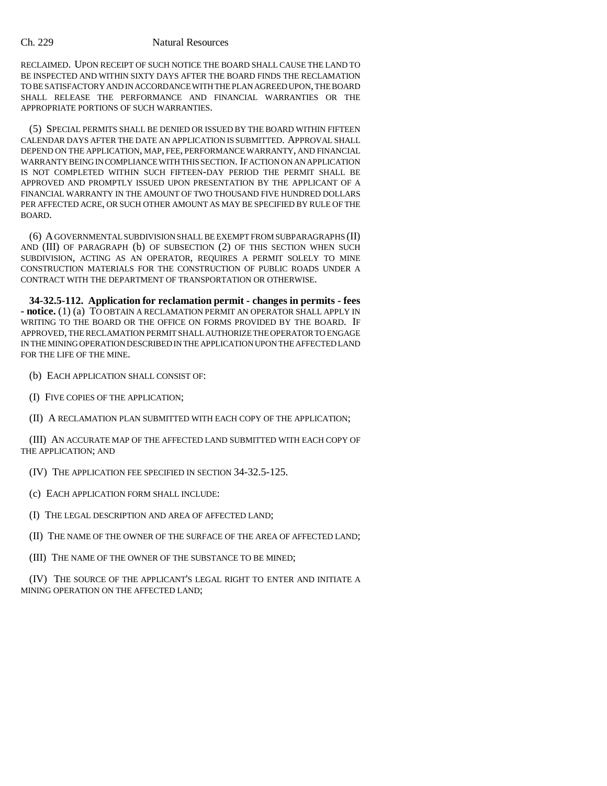RECLAIMED. UPON RECEIPT OF SUCH NOTICE THE BOARD SHALL CAUSE THE LAND TO BE INSPECTED AND WITHIN SIXTY DAYS AFTER THE BOARD FINDS THE RECLAMATION TO BE SATISFACTORY AND IN ACCORDANCE WITH THE PLAN AGREED UPON, THE BOARD SHALL RELEASE THE PERFORMANCE AND FINANCIAL WARRANTIES OR THE APPROPRIATE PORTIONS OF SUCH WARRANTIES.

(5) SPECIAL PERMITS SHALL BE DENIED OR ISSUED BY THE BOARD WITHIN FIFTEEN CALENDAR DAYS AFTER THE DATE AN APPLICATION IS SUBMITTED. APPROVAL SHALL DEPEND ON THE APPLICATION, MAP, FEE, PERFORMANCE WARRANTY, AND FINANCIAL WARRANTY BEING IN COMPLIANCE WITH THIS SECTION. IF ACTION ON AN APPLICATION IS NOT COMPLETED WITHIN SUCH FIFTEEN-DAY PERIOD THE PERMIT SHALL BE APPROVED AND PROMPTLY ISSUED UPON PRESENTATION BY THE APPLICANT OF A FINANCIAL WARRANTY IN THE AMOUNT OF TWO THOUSAND FIVE HUNDRED DOLLARS PER AFFECTED ACRE, OR SUCH OTHER AMOUNT AS MAY BE SPECIFIED BY RULE OF THE BOARD.

(6) A GOVERNMENTAL SUBDIVISION SHALL BE EXEMPT FROM SUBPARAGRAPHS (II) AND (III) OF PARAGRAPH (b) OF SUBSECTION (2) OF THIS SECTION WHEN SUCH SUBDIVISION, ACTING AS AN OPERATOR, REQUIRES A PERMIT SOLELY TO MINE CONSTRUCTION MATERIALS FOR THE CONSTRUCTION OF PUBLIC ROADS UNDER A CONTRACT WITH THE DEPARTMENT OF TRANSPORTATION OR OTHERWISE.

**34-32.5-112. Application for reclamation permit - changes in permits - fees - notice.** (1) (a) TO OBTAIN A RECLAMATION PERMIT AN OPERATOR SHALL APPLY IN WRITING TO THE BOARD OR THE OFFICE ON FORMS PROVIDED BY THE BOARD. IF APPROVED, THE RECLAMATION PERMIT SHALL AUTHORIZE THE OPERATOR TO ENGAGE IN THE MINING OPERATION DESCRIBED IN THE APPLICATION UPON THE AFFECTED LAND FOR THE LIFE OF THE MINE.

- (b) EACH APPLICATION SHALL CONSIST OF:
- (I) FIVE COPIES OF THE APPLICATION;
- (II) A RECLAMATION PLAN SUBMITTED WITH EACH COPY OF THE APPLICATION;

(III) AN ACCURATE MAP OF THE AFFECTED LAND SUBMITTED WITH EACH COPY OF THE APPLICATION; AND

- (IV) THE APPLICATION FEE SPECIFIED IN SECTION 34-32.5-125.
- (c) EACH APPLICATION FORM SHALL INCLUDE:
- (I) THE LEGAL DESCRIPTION AND AREA OF AFFECTED LAND;
- (II) THE NAME OF THE OWNER OF THE SURFACE OF THE AREA OF AFFECTED LAND;
- (III) THE NAME OF THE OWNER OF THE SUBSTANCE TO BE MINED;

(IV) THE SOURCE OF THE APPLICANT'S LEGAL RIGHT TO ENTER AND INITIATE A MINING OPERATION ON THE AFFECTED LAND;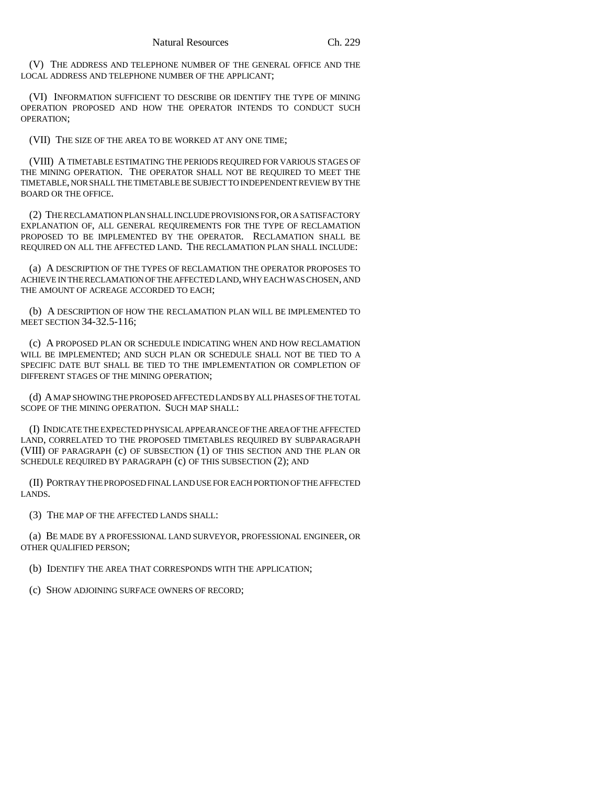(V) THE ADDRESS AND TELEPHONE NUMBER OF THE GENERAL OFFICE AND THE LOCAL ADDRESS AND TELEPHONE NUMBER OF THE APPLICANT;

(VI) INFORMATION SUFFICIENT TO DESCRIBE OR IDENTIFY THE TYPE OF MINING OPERATION PROPOSED AND HOW THE OPERATOR INTENDS TO CONDUCT SUCH OPERATION;

(VII) THE SIZE OF THE AREA TO BE WORKED AT ANY ONE TIME;

(VIII) A TIMETABLE ESTIMATING THE PERIODS REQUIRED FOR VARIOUS STAGES OF THE MINING OPERATION. THE OPERATOR SHALL NOT BE REQUIRED TO MEET THE TIMETABLE, NOR SHALL THE TIMETABLE BE SUBJECT TO INDEPENDENT REVIEW BY THE BOARD OR THE OFFICE.

(2) THE RECLAMATION PLAN SHALL INCLUDE PROVISIONS FOR, OR A SATISFACTORY EXPLANATION OF, ALL GENERAL REQUIREMENTS FOR THE TYPE OF RECLAMATION PROPOSED TO BE IMPLEMENTED BY THE OPERATOR. RECLAMATION SHALL BE REQUIRED ON ALL THE AFFECTED LAND. THE RECLAMATION PLAN SHALL INCLUDE:

(a) A DESCRIPTION OF THE TYPES OF RECLAMATION THE OPERATOR PROPOSES TO ACHIEVE IN THE RECLAMATION OF THE AFFECTED LAND, WHY EACH WAS CHOSEN, AND THE AMOUNT OF ACREAGE ACCORDED TO EACH;

(b) A DESCRIPTION OF HOW THE RECLAMATION PLAN WILL BE IMPLEMENTED TO MEET SECTION 34-32.5-116;

(c) A PROPOSED PLAN OR SCHEDULE INDICATING WHEN AND HOW RECLAMATION WILL BE IMPLEMENTED; AND SUCH PLAN OR SCHEDULE SHALL NOT BE TIED TO A SPECIFIC DATE BUT SHALL BE TIED TO THE IMPLEMENTATION OR COMPLETION OF DIFFERENT STAGES OF THE MINING OPERATION;

(d) A MAP SHOWING THE PROPOSED AFFECTED LANDS BY ALL PHASES OF THE TOTAL SCOPE OF THE MINING OPERATION. SUCH MAP SHALL:

(I) INDICATE THE EXPECTED PHYSICAL APPEARANCE OF THE AREA OF THE AFFECTED LAND, CORRELATED TO THE PROPOSED TIMETABLES REQUIRED BY SUBPARAGRAPH (VIII) OF PARAGRAPH (c) OF SUBSECTION (1) OF THIS SECTION AND THE PLAN OR SCHEDULE REQUIRED BY PARAGRAPH (c) OF THIS SUBSECTION (2); AND

(II) PORTRAY THE PROPOSED FINAL LAND USE FOR EACH PORTION OF THE AFFECTED LANDS.

(3) THE MAP OF THE AFFECTED LANDS SHALL:

(a) BE MADE BY A PROFESSIONAL LAND SURVEYOR, PROFESSIONAL ENGINEER, OR OTHER QUALIFIED PERSON;

(b) IDENTIFY THE AREA THAT CORRESPONDS WITH THE APPLICATION;

(c) SHOW ADJOINING SURFACE OWNERS OF RECORD;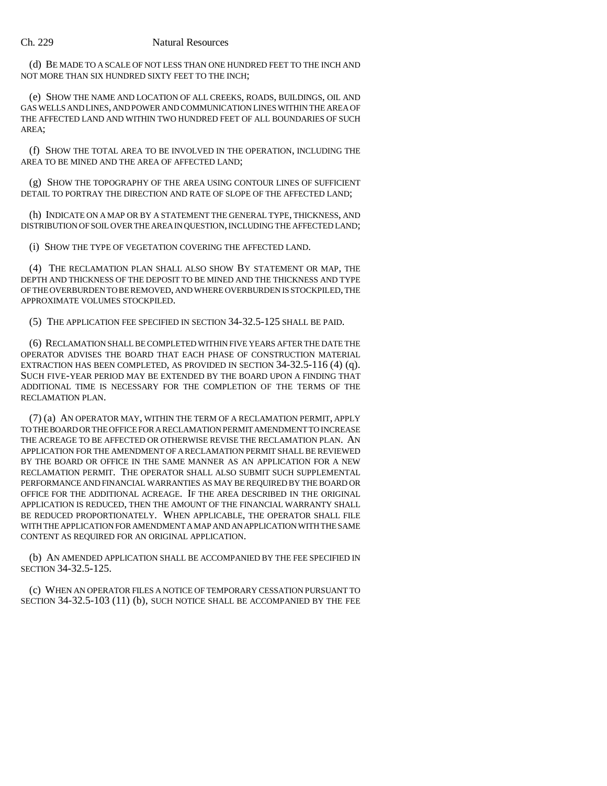(d) BE MADE TO A SCALE OF NOT LESS THAN ONE HUNDRED FEET TO THE INCH AND NOT MORE THAN SIX HUNDRED SIXTY FEET TO THE INCH;

(e) SHOW THE NAME AND LOCATION OF ALL CREEKS, ROADS, BUILDINGS, OIL AND GAS WELLS AND LINES, AND POWER AND COMMUNICATION LINES WITHIN THE AREA OF THE AFFECTED LAND AND WITHIN TWO HUNDRED FEET OF ALL BOUNDARIES OF SUCH AREA;

(f) SHOW THE TOTAL AREA TO BE INVOLVED IN THE OPERATION, INCLUDING THE AREA TO BE MINED AND THE AREA OF AFFECTED LAND;

(g) SHOW THE TOPOGRAPHY OF THE AREA USING CONTOUR LINES OF SUFFICIENT DETAIL TO PORTRAY THE DIRECTION AND RATE OF SLOPE OF THE AFFECTED LAND;

(h) INDICATE ON A MAP OR BY A STATEMENT THE GENERAL TYPE, THICKNESS, AND DISTRIBUTION OF SOIL OVER THE AREA IN QUESTION, INCLUDING THE AFFECTED LAND;

(i) SHOW THE TYPE OF VEGETATION COVERING THE AFFECTED LAND.

(4) THE RECLAMATION PLAN SHALL ALSO SHOW BY STATEMENT OR MAP, THE DEPTH AND THICKNESS OF THE DEPOSIT TO BE MINED AND THE THICKNESS AND TYPE OF THE OVERBURDEN TO BE REMOVED, AND WHERE OVERBURDEN IS STOCKPILED, THE APPROXIMATE VOLUMES STOCKPILED.

(5) THE APPLICATION FEE SPECIFIED IN SECTION 34-32.5-125 SHALL BE PAID.

(6) RECLAMATION SHALL BE COMPLETED WITHIN FIVE YEARS AFTER THE DATE THE OPERATOR ADVISES THE BOARD THAT EACH PHASE OF CONSTRUCTION MATERIAL EXTRACTION HAS BEEN COMPLETED, AS PROVIDED IN SECTION 34-32.5-116 (4) (q). SUCH FIVE-YEAR PERIOD MAY BE EXTENDED BY THE BOARD UPON A FINDING THAT ADDITIONAL TIME IS NECESSARY FOR THE COMPLETION OF THE TERMS OF THE RECLAMATION PLAN.

(7) (a) AN OPERATOR MAY, WITHIN THE TERM OF A RECLAMATION PERMIT, APPLY TO THE BOARD OR THE OFFICE FOR A RECLAMATION PERMIT AMENDMENT TO INCREASE THE ACREAGE TO BE AFFECTED OR OTHERWISE REVISE THE RECLAMATION PLAN. AN APPLICATION FOR THE AMENDMENT OF A RECLAMATION PERMIT SHALL BE REVIEWED BY THE BOARD OR OFFICE IN THE SAME MANNER AS AN APPLICATION FOR A NEW RECLAMATION PERMIT. THE OPERATOR SHALL ALSO SUBMIT SUCH SUPPLEMENTAL PERFORMANCE AND FINANCIAL WARRANTIES AS MAY BE REQUIRED BY THE BOARD OR OFFICE FOR THE ADDITIONAL ACREAGE. IF THE AREA DESCRIBED IN THE ORIGINAL APPLICATION IS REDUCED, THEN THE AMOUNT OF THE FINANCIAL WARRANTY SHALL BE REDUCED PROPORTIONATELY. WHEN APPLICABLE, THE OPERATOR SHALL FILE WITH THE APPLICATION FOR AMENDMENT A MAP AND AN APPLICATION WITH THE SAME CONTENT AS REQUIRED FOR AN ORIGINAL APPLICATION.

(b) AN AMENDED APPLICATION SHALL BE ACCOMPANIED BY THE FEE SPECIFIED IN SECTION 34-32.5-125.

(c) WHEN AN OPERATOR FILES A NOTICE OF TEMPORARY CESSATION PURSUANT TO SECTION 34-32.5-103 (11) (b), SUCH NOTICE SHALL BE ACCOMPANIED BY THE FEE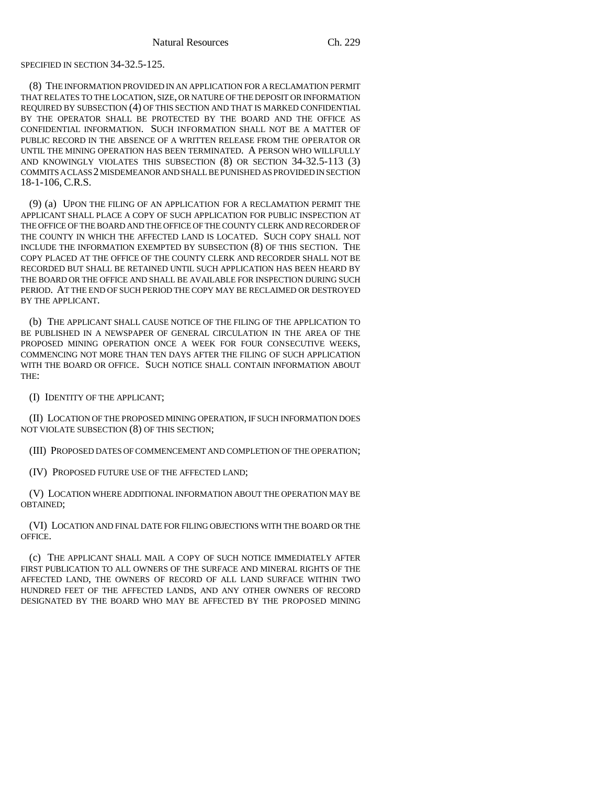# SPECIFIED IN SECTION 34-32.5-125.

(8) THE INFORMATION PROVIDED IN AN APPLICATION FOR A RECLAMATION PERMIT THAT RELATES TO THE LOCATION, SIZE, OR NATURE OF THE DEPOSIT OR INFORMATION REQUIRED BY SUBSECTION (4) OF THIS SECTION AND THAT IS MARKED CONFIDENTIAL BY THE OPERATOR SHALL BE PROTECTED BY THE BOARD AND THE OFFICE AS CONFIDENTIAL INFORMATION. SUCH INFORMATION SHALL NOT BE A MATTER OF PUBLIC RECORD IN THE ABSENCE OF A WRITTEN RELEASE FROM THE OPERATOR OR UNTIL THE MINING OPERATION HAS BEEN TERMINATED. A PERSON WHO WILLFULLY AND KNOWINGLY VIOLATES THIS SUBSECTION (8) OR SECTION 34-32.5-113 (3) COMMITS A CLASS 2 MISDEMEANOR AND SHALL BE PUNISHED AS PROVIDED IN SECTION 18-1-106, C.R.S.

(9) (a) UPON THE FILING OF AN APPLICATION FOR A RECLAMATION PERMIT THE APPLICANT SHALL PLACE A COPY OF SUCH APPLICATION FOR PUBLIC INSPECTION AT THE OFFICE OF THE BOARD AND THE OFFICE OF THE COUNTY CLERK AND RECORDER OF THE COUNTY IN WHICH THE AFFECTED LAND IS LOCATED. SUCH COPY SHALL NOT INCLUDE THE INFORMATION EXEMPTED BY SUBSECTION (8) OF THIS SECTION. THE COPY PLACED AT THE OFFICE OF THE COUNTY CLERK AND RECORDER SHALL NOT BE RECORDED BUT SHALL BE RETAINED UNTIL SUCH APPLICATION HAS BEEN HEARD BY THE BOARD OR THE OFFICE AND SHALL BE AVAILABLE FOR INSPECTION DURING SUCH PERIOD. AT THE END OF SUCH PERIOD THE COPY MAY BE RECLAIMED OR DESTROYED BY THE APPLICANT.

(b) THE APPLICANT SHALL CAUSE NOTICE OF THE FILING OF THE APPLICATION TO BE PUBLISHED IN A NEWSPAPER OF GENERAL CIRCULATION IN THE AREA OF THE PROPOSED MINING OPERATION ONCE A WEEK FOR FOUR CONSECUTIVE WEEKS, COMMENCING NOT MORE THAN TEN DAYS AFTER THE FILING OF SUCH APPLICATION WITH THE BOARD OR OFFICE. SUCH NOTICE SHALL CONTAIN INFORMATION ABOUT THE:

(I) IDENTITY OF THE APPLICANT;

(II) LOCATION OF THE PROPOSED MINING OPERATION, IF SUCH INFORMATION DOES NOT VIOLATE SUBSECTION (8) OF THIS SECTION;

(III) PROPOSED DATES OF COMMENCEMENT AND COMPLETION OF THE OPERATION;

(IV) PROPOSED FUTURE USE OF THE AFFECTED LAND;

(V) LOCATION WHERE ADDITIONAL INFORMATION ABOUT THE OPERATION MAY BE OBTAINED;

(VI) LOCATION AND FINAL DATE FOR FILING OBJECTIONS WITH THE BOARD OR THE OFFICE.

(c) THE APPLICANT SHALL MAIL A COPY OF SUCH NOTICE IMMEDIATELY AFTER FIRST PUBLICATION TO ALL OWNERS OF THE SURFACE AND MINERAL RIGHTS OF THE AFFECTED LAND, THE OWNERS OF RECORD OF ALL LAND SURFACE WITHIN TWO HUNDRED FEET OF THE AFFECTED LANDS, AND ANY OTHER OWNERS OF RECORD DESIGNATED BY THE BOARD WHO MAY BE AFFECTED BY THE PROPOSED MINING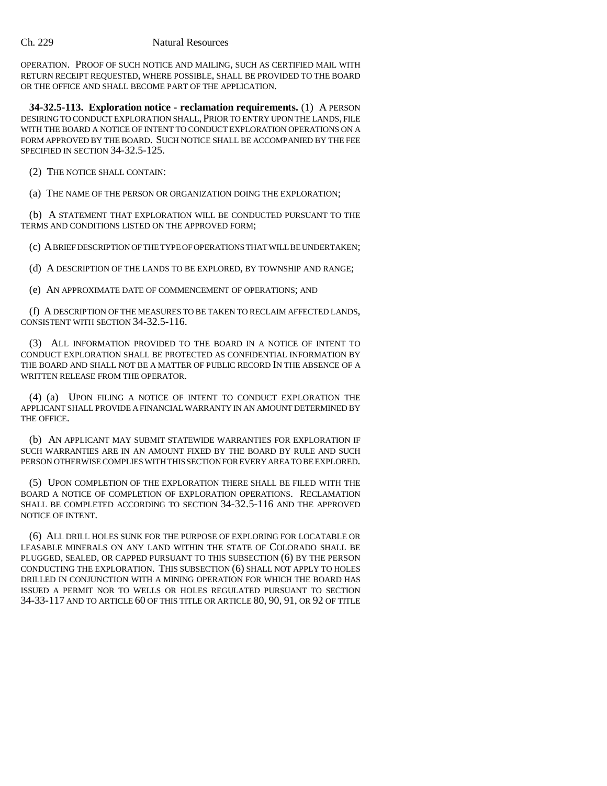OPERATION. PROOF OF SUCH NOTICE AND MAILING, SUCH AS CERTIFIED MAIL WITH RETURN RECEIPT REQUESTED, WHERE POSSIBLE, SHALL BE PROVIDED TO THE BOARD OR THE OFFICE AND SHALL BECOME PART OF THE APPLICATION.

**34-32.5-113. Exploration notice - reclamation requirements.** (1) A PERSON DESIRING TO CONDUCT EXPLORATION SHALL, PRIOR TO ENTRY UPON THE LANDS, FILE WITH THE BOARD A NOTICE OF INTENT TO CONDUCT EXPLORATION OPERATIONS ON A FORM APPROVED BY THE BOARD. SUCH NOTICE SHALL BE ACCOMPANIED BY THE FEE SPECIFIED IN SECTION 34-32.5-125.

(2) THE NOTICE SHALL CONTAIN:

(a) THE NAME OF THE PERSON OR ORGANIZATION DOING THE EXPLORATION;

(b) A STATEMENT THAT EXPLORATION WILL BE CONDUCTED PURSUANT TO THE TERMS AND CONDITIONS LISTED ON THE APPROVED FORM;

(c) A BRIEF DESCRIPTION OF THE TYPE OF OPERATIONS THAT WILL BE UNDERTAKEN;

(d) A DESCRIPTION OF THE LANDS TO BE EXPLORED, BY TOWNSHIP AND RANGE;

(e) AN APPROXIMATE DATE OF COMMENCEMENT OF OPERATIONS; AND

(f) A DESCRIPTION OF THE MEASURES TO BE TAKEN TO RECLAIM AFFECTED LANDS, CONSISTENT WITH SECTION 34-32.5-116.

(3) ALL INFORMATION PROVIDED TO THE BOARD IN A NOTICE OF INTENT TO CONDUCT EXPLORATION SHALL BE PROTECTED AS CONFIDENTIAL INFORMATION BY THE BOARD AND SHALL NOT BE A MATTER OF PUBLIC RECORD IN THE ABSENCE OF A WRITTEN RELEASE FROM THE OPERATOR.

(4) (a) UPON FILING A NOTICE OF INTENT TO CONDUCT EXPLORATION THE APPLICANT SHALL PROVIDE A FINANCIAL WARRANTY IN AN AMOUNT DETERMINED BY THE OFFICE.

(b) AN APPLICANT MAY SUBMIT STATEWIDE WARRANTIES FOR EXPLORATION IF SUCH WARRANTIES ARE IN AN AMOUNT FIXED BY THE BOARD BY RULE AND SUCH PERSON OTHERWISE COMPLIES WITH THIS SECTION FOR EVERY AREA TO BE EXPLORED.

(5) UPON COMPLETION OF THE EXPLORATION THERE SHALL BE FILED WITH THE BOARD A NOTICE OF COMPLETION OF EXPLORATION OPERATIONS. RECLAMATION SHALL BE COMPLETED ACCORDING TO SECTION 34-32.5-116 AND THE APPROVED NOTICE OF INTENT.

(6) ALL DRILL HOLES SUNK FOR THE PURPOSE OF EXPLORING FOR LOCATABLE OR LEASABLE MINERALS ON ANY LAND WITHIN THE STATE OF COLORADO SHALL BE PLUGGED, SEALED, OR CAPPED PURSUANT TO THIS SUBSECTION (6) BY THE PERSON CONDUCTING THE EXPLORATION. THIS SUBSECTION (6) SHALL NOT APPLY TO HOLES DRILLED IN CONJUNCTION WITH A MINING OPERATION FOR WHICH THE BOARD HAS ISSUED A PERMIT NOR TO WELLS OR HOLES REGULATED PURSUANT TO SECTION 34-33-117 AND TO ARTICLE 60 OF THIS TITLE OR ARTICLE 80, 90, 91, OR 92 OF TITLE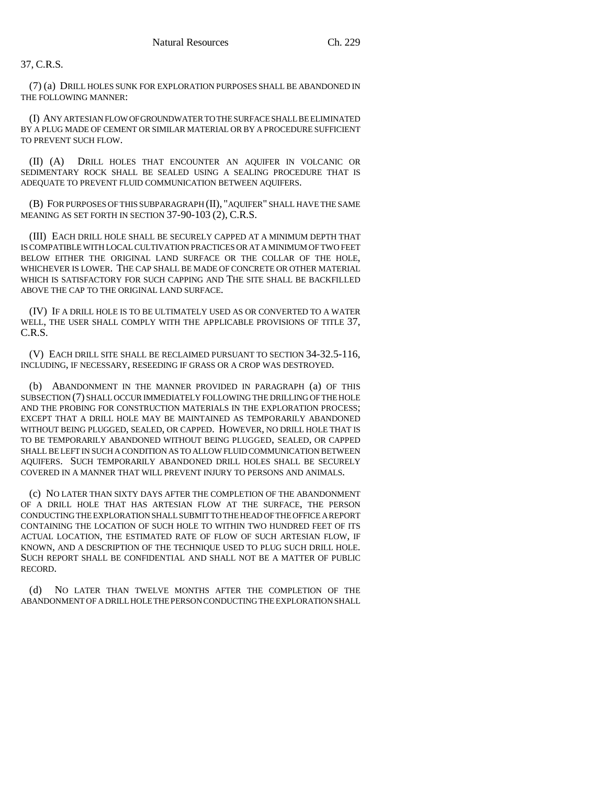37, C.R.S.

(7) (a) DRILL HOLES SUNK FOR EXPLORATION PURPOSES SHALL BE ABANDONED IN THE FOLLOWING MANNER:

(I) ANY ARTESIAN FLOW OF GROUNDWATER TO THE SURFACE SHALL BE ELIMINATED BY A PLUG MADE OF CEMENT OR SIMILAR MATERIAL OR BY A PROCEDURE SUFFICIENT TO PREVENT SUCH FLOW.

(II) (A) DRILL HOLES THAT ENCOUNTER AN AQUIFER IN VOLCANIC OR SEDIMENTARY ROCK SHALL BE SEALED USING A SEALING PROCEDURE THAT IS ADEQUATE TO PREVENT FLUID COMMUNICATION BETWEEN AQUIFERS.

(B) FOR PURPOSES OF THIS SUBPARAGRAPH (II), "AQUIFER" SHALL HAVE THE SAME MEANING AS SET FORTH IN SECTION 37-90-103 (2), C.R.S.

(III) EACH DRILL HOLE SHALL BE SECURELY CAPPED AT A MINIMUM DEPTH THAT IS COMPATIBLE WITH LOCAL CULTIVATION PRACTICES OR AT A MINIMUM OF TWO FEET BELOW EITHER THE ORIGINAL LAND SURFACE OR THE COLLAR OF THE HOLE, WHICHEVER IS LOWER. THE CAP SHALL BE MADE OF CONCRETE OR OTHER MATERIAL WHICH IS SATISFACTORY FOR SUCH CAPPING AND THE SITE SHALL BE BACKFILLED ABOVE THE CAP TO THE ORIGINAL LAND SURFACE.

(IV) IF A DRILL HOLE IS TO BE ULTIMATELY USED AS OR CONVERTED TO A WATER WELL, THE USER SHALL COMPLY WITH THE APPLICABLE PROVISIONS OF TITLE 37, C.R.S.

(V) EACH DRILL SITE SHALL BE RECLAIMED PURSUANT TO SECTION 34-32.5-116, INCLUDING, IF NECESSARY, RESEEDING IF GRASS OR A CROP WAS DESTROYED.

(b) ABANDONMENT IN THE MANNER PROVIDED IN PARAGRAPH (a) OF THIS SUBSECTION (7) SHALL OCCUR IMMEDIATELY FOLLOWING THE DRILLING OF THE HOLE AND THE PROBING FOR CONSTRUCTION MATERIALS IN THE EXPLORATION PROCESS; EXCEPT THAT A DRILL HOLE MAY BE MAINTAINED AS TEMPORARILY ABANDONED WITHOUT BEING PLUGGED, SEALED, OR CAPPED. HOWEVER, NO DRILL HOLE THAT IS TO BE TEMPORARILY ABANDONED WITHOUT BEING PLUGGED, SEALED, OR CAPPED SHALL BE LEFT IN SUCH A CONDITION AS TO ALLOW FLUID COMMUNICATION BETWEEN AQUIFERS. SUCH TEMPORARILY ABANDONED DRILL HOLES SHALL BE SECURELY COVERED IN A MANNER THAT WILL PREVENT INJURY TO PERSONS AND ANIMALS.

(c) NO LATER THAN SIXTY DAYS AFTER THE COMPLETION OF THE ABANDONMENT OF A DRILL HOLE THAT HAS ARTESIAN FLOW AT THE SURFACE, THE PERSON CONDUCTING THE EXPLORATION SHALL SUBMIT TO THE HEAD OF THE OFFICE A REPORT CONTAINING THE LOCATION OF SUCH HOLE TO WITHIN TWO HUNDRED FEET OF ITS ACTUAL LOCATION, THE ESTIMATED RATE OF FLOW OF SUCH ARTESIAN FLOW, IF KNOWN, AND A DESCRIPTION OF THE TECHNIQUE USED TO PLUG SUCH DRILL HOLE. SUCH REPORT SHALL BE CONFIDENTIAL AND SHALL NOT BE A MATTER OF PUBLIC RECORD.

(d) NO LATER THAN TWELVE MONTHS AFTER THE COMPLETION OF THE ABANDONMENT OF A DRILL HOLE THE PERSON CONDUCTING THE EXPLORATION SHALL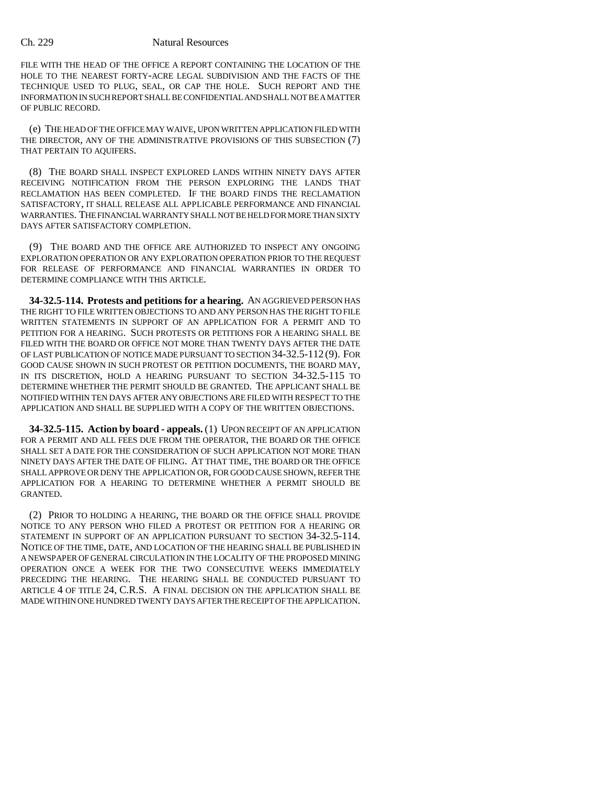FILE WITH THE HEAD OF THE OFFICE A REPORT CONTAINING THE LOCATION OF THE HOLE TO THE NEAREST FORTY-ACRE LEGAL SUBDIVISION AND THE FACTS OF THE TECHNIQUE USED TO PLUG, SEAL, OR CAP THE HOLE. SUCH REPORT AND THE INFORMATION IN SUCH REPORT SHALL BE CONFIDENTIAL AND SHALL NOT BE A MATTER OF PUBLIC RECORD.

(e) THE HEAD OF THE OFFICE MAY WAIVE, UPON WRITTEN APPLICATION FILED WITH THE DIRECTOR, ANY OF THE ADMINISTRATIVE PROVISIONS OF THIS SUBSECTION (7) THAT PERTAIN TO AQUIFERS.

(8) THE BOARD SHALL INSPECT EXPLORED LANDS WITHIN NINETY DAYS AFTER RECEIVING NOTIFICATION FROM THE PERSON EXPLORING THE LANDS THAT RECLAMATION HAS BEEN COMPLETED. IF THE BOARD FINDS THE RECLAMATION SATISFACTORY, IT SHALL RELEASE ALL APPLICABLE PERFORMANCE AND FINANCIAL WARRANTIES. THE FINANCIAL WARRANTY SHALL NOT BE HELD FOR MORE THAN SIXTY DAYS AFTER SATISFACTORY COMPLETION.

(9) THE BOARD AND THE OFFICE ARE AUTHORIZED TO INSPECT ANY ONGOING EXPLORATION OPERATION OR ANY EXPLORATION OPERATION PRIOR TO THE REQUEST FOR RELEASE OF PERFORMANCE AND FINANCIAL WARRANTIES IN ORDER TO DETERMINE COMPLIANCE WITH THIS ARTICLE.

**34-32.5-114. Protests and petitions for a hearing.** AN AGGRIEVED PERSON HAS THE RIGHT TO FILE WRITTEN OBJECTIONS TO AND ANY PERSON HAS THE RIGHT TO FILE WRITTEN STATEMENTS IN SUPPORT OF AN APPLICATION FOR A PERMIT AND TO PETITION FOR A HEARING. SUCH PROTESTS OR PETITIONS FOR A HEARING SHALL BE FILED WITH THE BOARD OR OFFICE NOT MORE THAN TWENTY DAYS AFTER THE DATE OF LAST PUBLICATION OF NOTICE MADE PURSUANT TO SECTION 34-32.5-112 (9). FOR GOOD CAUSE SHOWN IN SUCH PROTEST OR PETITION DOCUMENTS, THE BOARD MAY, IN ITS DISCRETION, HOLD A HEARING PURSUANT TO SECTION 34-32.5-115 TO DETERMINE WHETHER THE PERMIT SHOULD BE GRANTED. THE APPLICANT SHALL BE NOTIFIED WITHIN TEN DAYS AFTER ANY OBJECTIONS ARE FILED WITH RESPECT TO THE APPLICATION AND SHALL BE SUPPLIED WITH A COPY OF THE WRITTEN OBJECTIONS.

**34-32.5-115. Action by board - appeals.** (1) UPON RECEIPT OF AN APPLICATION FOR A PERMIT AND ALL FEES DUE FROM THE OPERATOR, THE BOARD OR THE OFFICE SHALL SET A DATE FOR THE CONSIDERATION OF SUCH APPLICATION NOT MORE THAN NINETY DAYS AFTER THE DATE OF FILING. AT THAT TIME, THE BOARD OR THE OFFICE SHALL APPROVE OR DENY THE APPLICATION OR, FOR GOOD CAUSE SHOWN, REFER THE APPLICATION FOR A HEARING TO DETERMINE WHETHER A PERMIT SHOULD BE GRANTED.

(2) PRIOR TO HOLDING A HEARING, THE BOARD OR THE OFFICE SHALL PROVIDE NOTICE TO ANY PERSON WHO FILED A PROTEST OR PETITION FOR A HEARING OR STATEMENT IN SUPPORT OF AN APPLICATION PURSUANT TO SECTION 34-32.5-114. NOTICE OF THE TIME, DATE, AND LOCATION OF THE HEARING SHALL BE PUBLISHED IN A NEWSPAPER OF GENERAL CIRCULATION IN THE LOCALITY OF THE PROPOSED MINING OPERATION ONCE A WEEK FOR THE TWO CONSECUTIVE WEEKS IMMEDIATELY PRECEDING THE HEARING. THE HEARING SHALL BE CONDUCTED PURSUANT TO ARTICLE 4 OF TITLE 24, C.R.S. A FINAL DECISION ON THE APPLICATION SHALL BE MADE WITHIN ONE HUNDRED TWENTY DAYS AFTER THE RECEIPT OF THE APPLICATION.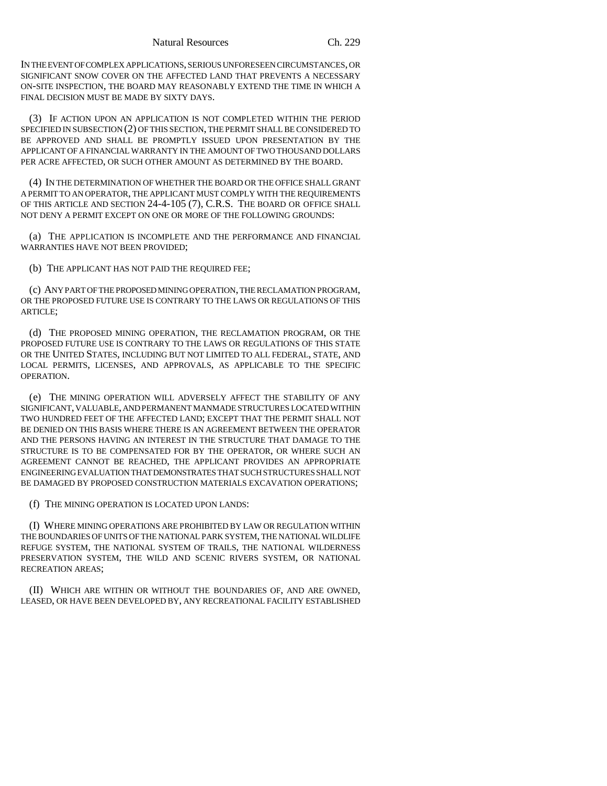IN THE EVENT OF COMPLEX APPLICATIONS, SERIOUS UNFORESEEN CIRCUMSTANCES, OR SIGNIFICANT SNOW COVER ON THE AFFECTED LAND THAT PREVENTS A NECESSARY ON-SITE INSPECTION, THE BOARD MAY REASONABLY EXTEND THE TIME IN WHICH A FINAL DECISION MUST BE MADE BY SIXTY DAYS.

(3) IF ACTION UPON AN APPLICATION IS NOT COMPLETED WITHIN THE PERIOD SPECIFIED IN SUBSECTION (2) OF THIS SECTION, THE PERMIT SHALL BE CONSIDERED TO BE APPROVED AND SHALL BE PROMPTLY ISSUED UPON PRESENTATION BY THE APPLICANT OF A FINANCIAL WARRANTY IN THE AMOUNT OF TWO THOUSAND DOLLARS PER ACRE AFFECTED, OR SUCH OTHER AMOUNT AS DETERMINED BY THE BOARD.

(4) IN THE DETERMINATION OF WHETHER THE BOARD OR THE OFFICE SHALL GRANT A PERMIT TO AN OPERATOR, THE APPLICANT MUST COMPLY WITH THE REQUIREMENTS OF THIS ARTICLE AND SECTION 24-4-105 (7), C.R.S. THE BOARD OR OFFICE SHALL NOT DENY A PERMIT EXCEPT ON ONE OR MORE OF THE FOLLOWING GROUNDS:

(a) THE APPLICATION IS INCOMPLETE AND THE PERFORMANCE AND FINANCIAL WARRANTIES HAVE NOT BEEN PROVIDED;

(b) THE APPLICANT HAS NOT PAID THE REQUIRED FEE;

(c) ANY PART OF THE PROPOSED MINING OPERATION, THE RECLAMATION PROGRAM, OR THE PROPOSED FUTURE USE IS CONTRARY TO THE LAWS OR REGULATIONS OF THIS ARTICLE;

(d) THE PROPOSED MINING OPERATION, THE RECLAMATION PROGRAM, OR THE PROPOSED FUTURE USE IS CONTRARY TO THE LAWS OR REGULATIONS OF THIS STATE OR THE UNITED STATES, INCLUDING BUT NOT LIMITED TO ALL FEDERAL, STATE, AND LOCAL PERMITS, LICENSES, AND APPROVALS, AS APPLICABLE TO THE SPECIFIC OPERATION.

(e) THE MINING OPERATION WILL ADVERSELY AFFECT THE STABILITY OF ANY SIGNIFICANT, VALUABLE, AND PERMANENT MANMADE STRUCTURES LOCATED WITHIN TWO HUNDRED FEET OF THE AFFECTED LAND; EXCEPT THAT THE PERMIT SHALL NOT BE DENIED ON THIS BASIS WHERE THERE IS AN AGREEMENT BETWEEN THE OPERATOR AND THE PERSONS HAVING AN INTEREST IN THE STRUCTURE THAT DAMAGE TO THE STRUCTURE IS TO BE COMPENSATED FOR BY THE OPERATOR, OR WHERE SUCH AN AGREEMENT CANNOT BE REACHED, THE APPLICANT PROVIDES AN APPROPRIATE ENGINEERING EVALUATION THAT DEMONSTRATES THAT SUCH STRUCTURES SHALL NOT BE DAMAGED BY PROPOSED CONSTRUCTION MATERIALS EXCAVATION OPERATIONS;

(f) THE MINING OPERATION IS LOCATED UPON LANDS:

(I) WHERE MINING OPERATIONS ARE PROHIBITED BY LAW OR REGULATION WITHIN THE BOUNDARIES OF UNITS OF THE NATIONAL PARK SYSTEM, THE NATIONAL WILDLIFE REFUGE SYSTEM, THE NATIONAL SYSTEM OF TRAILS, THE NATIONAL WILDERNESS PRESERVATION SYSTEM, THE WILD AND SCENIC RIVERS SYSTEM, OR NATIONAL RECREATION AREAS;

(II) WHICH ARE WITHIN OR WITHOUT THE BOUNDARIES OF, AND ARE OWNED, LEASED, OR HAVE BEEN DEVELOPED BY, ANY RECREATIONAL FACILITY ESTABLISHED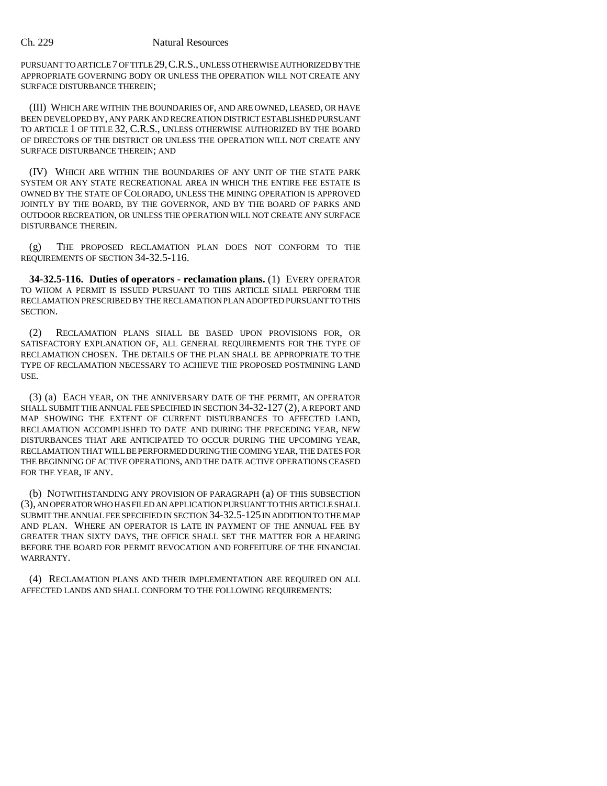PURSUANT TO ARTICLE 7 OF TITLE 29,C.R.S., UNLESS OTHERWISE AUTHORIZED BY THE APPROPRIATE GOVERNING BODY OR UNLESS THE OPERATION WILL NOT CREATE ANY SURFACE DISTURBANCE THEREIN;

(III) WHICH ARE WITHIN THE BOUNDARIES OF, AND ARE OWNED, LEASED, OR HAVE BEEN DEVELOPED BY, ANY PARK AND RECREATION DISTRICT ESTABLISHED PURSUANT TO ARTICLE 1 OF TITLE 32, C.R.S., UNLESS OTHERWISE AUTHORIZED BY THE BOARD OF DIRECTORS OF THE DISTRICT OR UNLESS THE OPERATION WILL NOT CREATE ANY SURFACE DISTURBANCE THEREIN; AND

(IV) WHICH ARE WITHIN THE BOUNDARIES OF ANY UNIT OF THE STATE PARK SYSTEM OR ANY STATE RECREATIONAL AREA IN WHICH THE ENTIRE FEE ESTATE IS OWNED BY THE STATE OF COLORADO, UNLESS THE MINING OPERATION IS APPROVED JOINTLY BY THE BOARD, BY THE GOVERNOR, AND BY THE BOARD OF PARKS AND OUTDOOR RECREATION, OR UNLESS THE OPERATION WILL NOT CREATE ANY SURFACE DISTURBANCE THEREIN.

(g) THE PROPOSED RECLAMATION PLAN DOES NOT CONFORM TO THE REQUIREMENTS OF SECTION 34-32.5-116.

**34-32.5-116. Duties of operators - reclamation plans.** (1) EVERY OPERATOR TO WHOM A PERMIT IS ISSUED PURSUANT TO THIS ARTICLE SHALL PERFORM THE RECLAMATION PRESCRIBED BY THE RECLAMATION PLAN ADOPTED PURSUANT TO THIS SECTION.

(2) RECLAMATION PLANS SHALL BE BASED UPON PROVISIONS FOR, OR SATISFACTORY EXPLANATION OF, ALL GENERAL REQUIREMENTS FOR THE TYPE OF RECLAMATION CHOSEN. THE DETAILS OF THE PLAN SHALL BE APPROPRIATE TO THE TYPE OF RECLAMATION NECESSARY TO ACHIEVE THE PROPOSED POSTMINING LAND USE.

(3) (a) EACH YEAR, ON THE ANNIVERSARY DATE OF THE PERMIT, AN OPERATOR SHALL SUBMIT THE ANNUAL FEE SPECIFIED IN SECTION 34-32-127 (2), A REPORT AND MAP SHOWING THE EXTENT OF CURRENT DISTURBANCES TO AFFECTED LAND, RECLAMATION ACCOMPLISHED TO DATE AND DURING THE PRECEDING YEAR, NEW DISTURBANCES THAT ARE ANTICIPATED TO OCCUR DURING THE UPCOMING YEAR, RECLAMATION THAT WILL BE PERFORMED DURING THE COMING YEAR, THE DATES FOR THE BEGINNING OF ACTIVE OPERATIONS, AND THE DATE ACTIVE OPERATIONS CEASED FOR THE YEAR, IF ANY.

(b) NOTWITHSTANDING ANY PROVISION OF PARAGRAPH (a) OF THIS SUBSECTION (3), AN OPERATOR WHO HAS FILED AN APPLICATION PURSUANT TO THIS ARTICLE SHALL SUBMIT THE ANNUAL FEE SPECIFIED IN SECTION 34-32.5-125 IN ADDITION TO THE MAP AND PLAN. WHERE AN OPERATOR IS LATE IN PAYMENT OF THE ANNUAL FEE BY GREATER THAN SIXTY DAYS, THE OFFICE SHALL SET THE MATTER FOR A HEARING BEFORE THE BOARD FOR PERMIT REVOCATION AND FORFEITURE OF THE FINANCIAL WARRANTY.

(4) RECLAMATION PLANS AND THEIR IMPLEMENTATION ARE REQUIRED ON ALL AFFECTED LANDS AND SHALL CONFORM TO THE FOLLOWING REQUIREMENTS: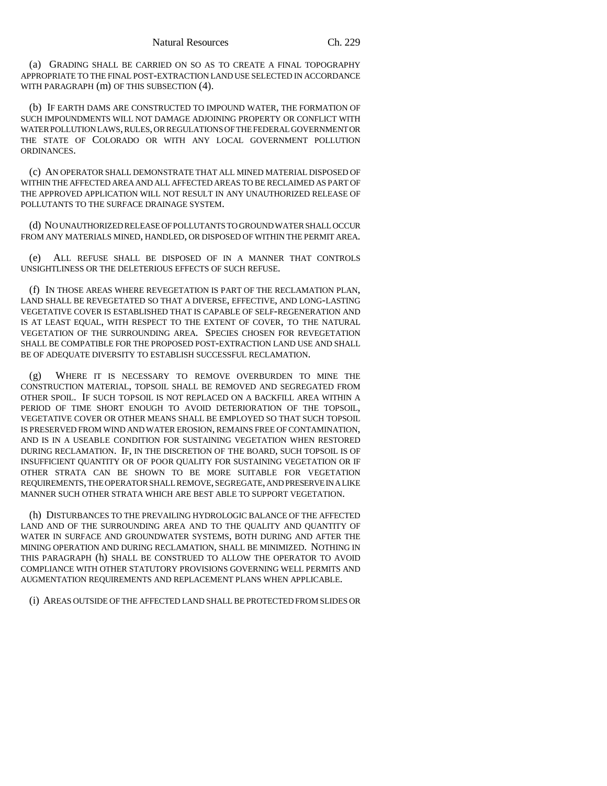(a) GRADING SHALL BE CARRIED ON SO AS TO CREATE A FINAL TOPOGRAPHY APPROPRIATE TO THE FINAL POST-EXTRACTION LAND USE SELECTED IN ACCORDANCE WITH PARAGRAPH (m) OF THIS SUBSECTION (4).

(b) IF EARTH DAMS ARE CONSTRUCTED TO IMPOUND WATER, THE FORMATION OF SUCH IMPOUNDMENTS WILL NOT DAMAGE ADJOINING PROPERTY OR CONFLICT WITH WATER POLLUTION LAWS, RULES, OR REGULATIONS OF THE FEDERAL GOVERNMENT OR THE STATE OF COLORADO OR WITH ANY LOCAL GOVERNMENT POLLUTION ORDINANCES.

(c) AN OPERATOR SHALL DEMONSTRATE THAT ALL MINED MATERIAL DISPOSED OF WITHIN THE AFFECTED AREA AND ALL AFFECTED AREAS TO BE RECLAIMED AS PART OF THE APPROVED APPLICATION WILL NOT RESULT IN ANY UNAUTHORIZED RELEASE OF POLLUTANTS TO THE SURFACE DRAINAGE SYSTEM.

(d) NO UNAUTHORIZED RELEASE OF POLLUTANTS TO GROUND WATER SHALL OCCUR FROM ANY MATERIALS MINED, HANDLED, OR DISPOSED OF WITHIN THE PERMIT AREA.

(e) ALL REFUSE SHALL BE DISPOSED OF IN A MANNER THAT CONTROLS UNSIGHTLINESS OR THE DELETERIOUS EFFECTS OF SUCH REFUSE.

(f) IN THOSE AREAS WHERE REVEGETATION IS PART OF THE RECLAMATION PLAN, LAND SHALL BE REVEGETATED SO THAT A DIVERSE, EFFECTIVE, AND LONG-LASTING VEGETATIVE COVER IS ESTABLISHED THAT IS CAPABLE OF SELF-REGENERATION AND IS AT LEAST EQUAL, WITH RESPECT TO THE EXTENT OF COVER, TO THE NATURAL VEGETATION OF THE SURROUNDING AREA. SPECIES CHOSEN FOR REVEGETATION SHALL BE COMPATIBLE FOR THE PROPOSED POST-EXTRACTION LAND USE AND SHALL BE OF ADEQUATE DIVERSITY TO ESTABLISH SUCCESSFUL RECLAMATION.

(g) WHERE IT IS NECESSARY TO REMOVE OVERBURDEN TO MINE THE CONSTRUCTION MATERIAL, TOPSOIL SHALL BE REMOVED AND SEGREGATED FROM OTHER SPOIL. IF SUCH TOPSOIL IS NOT REPLACED ON A BACKFILL AREA WITHIN A PERIOD OF TIME SHORT ENOUGH TO AVOID DETERIORATION OF THE TOPSOIL, VEGETATIVE COVER OR OTHER MEANS SHALL BE EMPLOYED SO THAT SUCH TOPSOIL IS PRESERVED FROM WIND AND WATER EROSION, REMAINS FREE OF CONTAMINATION, AND IS IN A USEABLE CONDITION FOR SUSTAINING VEGETATION WHEN RESTORED DURING RECLAMATION. IF, IN THE DISCRETION OF THE BOARD, SUCH TOPSOIL IS OF INSUFFICIENT QUANTITY OR OF POOR QUALITY FOR SUSTAINING VEGETATION OR IF OTHER STRATA CAN BE SHOWN TO BE MORE SUITABLE FOR VEGETATION REQUIREMENTS, THE OPERATOR SHALL REMOVE, SEGREGATE, AND PRESERVE IN A LIKE MANNER SUCH OTHER STRATA WHICH ARE BEST ABLE TO SUPPORT VEGETATION.

(h) DISTURBANCES TO THE PREVAILING HYDROLOGIC BALANCE OF THE AFFECTED LAND AND OF THE SURROUNDING AREA AND TO THE QUALITY AND QUANTITY OF WATER IN SURFACE AND GROUNDWATER SYSTEMS, BOTH DURING AND AFTER THE MINING OPERATION AND DURING RECLAMATION, SHALL BE MINIMIZED. NOTHING IN THIS PARAGRAPH (h) SHALL BE CONSTRUED TO ALLOW THE OPERATOR TO AVOID COMPLIANCE WITH OTHER STATUTORY PROVISIONS GOVERNING WELL PERMITS AND AUGMENTATION REQUIREMENTS AND REPLACEMENT PLANS WHEN APPLICABLE.

(i) AREAS OUTSIDE OF THE AFFECTED LAND SHALL BE PROTECTED FROM SLIDES OR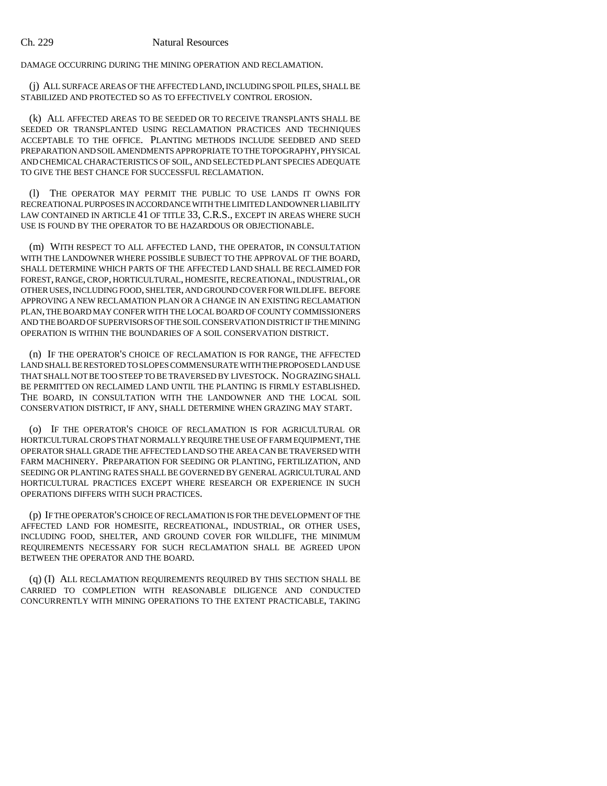DAMAGE OCCURRING DURING THE MINING OPERATION AND RECLAMATION.

(j) ALL SURFACE AREAS OF THE AFFECTED LAND, INCLUDING SPOIL PILES, SHALL BE STABILIZED AND PROTECTED SO AS TO EFFECTIVELY CONTROL EROSION.

(k) ALL AFFECTED AREAS TO BE SEEDED OR TO RECEIVE TRANSPLANTS SHALL BE SEEDED OR TRANSPLANTED USING RECLAMATION PRACTICES AND TECHNIQUES ACCEPTABLE TO THE OFFICE. PLANTING METHODS INCLUDE SEEDBED AND SEED PREPARATION AND SOIL AMENDMENTS APPROPRIATE TO THE TOPOGRAPHY, PHYSICAL AND CHEMICAL CHARACTERISTICS OF SOIL, AND SELECTED PLANT SPECIES ADEQUATE TO GIVE THE BEST CHANCE FOR SUCCESSFUL RECLAMATION.

(l) THE OPERATOR MAY PERMIT THE PUBLIC TO USE LANDS IT OWNS FOR RECREATIONAL PURPOSES IN ACCORDANCE WITH THE LIMITED LANDOWNER LIABILITY LAW CONTAINED IN ARTICLE 41 OF TITLE 33, C.R.S., EXCEPT IN AREAS WHERE SUCH USE IS FOUND BY THE OPERATOR TO BE HAZARDOUS OR OBJECTIONABLE.

(m) WITH RESPECT TO ALL AFFECTED LAND, THE OPERATOR, IN CONSULTATION WITH THE LANDOWNER WHERE POSSIBLE SUBJECT TO THE APPROVAL OF THE BOARD, SHALL DETERMINE WHICH PARTS OF THE AFFECTED LAND SHALL BE RECLAIMED FOR FOREST, RANGE, CROP, HORTICULTURAL, HOMESITE, RECREATIONAL, INDUSTRIAL, OR OTHER USES, INCLUDING FOOD, SHELTER, AND GROUND COVER FOR WILDLIFE. BEFORE APPROVING A NEW RECLAMATION PLAN OR A CHANGE IN AN EXISTING RECLAMATION PLAN, THE BOARD MAY CONFER WITH THE LOCAL BOARD OF COUNTY COMMISSIONERS AND THE BOARD OF SUPERVISORS OF THE SOIL CONSERVATION DISTRICT IF THE MINING OPERATION IS WITHIN THE BOUNDARIES OF A SOIL CONSERVATION DISTRICT.

(n) IF THE OPERATOR'S CHOICE OF RECLAMATION IS FOR RANGE, THE AFFECTED LAND SHALL BE RESTORED TO SLOPES COMMENSURATE WITH THE PROPOSED LAND USE THAT SHALL NOT BE TOO STEEP TO BE TRAVERSED BY LIVESTOCK. NO GRAZING SHALL BE PERMITTED ON RECLAIMED LAND UNTIL THE PLANTING IS FIRMLY ESTABLISHED. THE BOARD, IN CONSULTATION WITH THE LANDOWNER AND THE LOCAL SOIL CONSERVATION DISTRICT, IF ANY, SHALL DETERMINE WHEN GRAZING MAY START.

(o) IF THE OPERATOR'S CHOICE OF RECLAMATION IS FOR AGRICULTURAL OR HORTICULTURAL CROPS THAT NORMALLY REQUIRE THE USE OF FARM EQUIPMENT, THE OPERATOR SHALL GRADE THE AFFECTED LAND SO THE AREA CAN BE TRAVERSED WITH FARM MACHINERY. PREPARATION FOR SEEDING OR PLANTING, FERTILIZATION, AND SEEDING OR PLANTING RATES SHALL BE GOVERNED BY GENERAL AGRICULTURAL AND HORTICULTURAL PRACTICES EXCEPT WHERE RESEARCH OR EXPERIENCE IN SUCH OPERATIONS DIFFERS WITH SUCH PRACTICES.

(p) IF THE OPERATOR'S CHOICE OF RECLAMATION IS FOR THE DEVELOPMENT OF THE AFFECTED LAND FOR HOMESITE, RECREATIONAL, INDUSTRIAL, OR OTHER USES, INCLUDING FOOD, SHELTER, AND GROUND COVER FOR WILDLIFE, THE MINIMUM REQUIREMENTS NECESSARY FOR SUCH RECLAMATION SHALL BE AGREED UPON BETWEEN THE OPERATOR AND THE BOARD.

(q) (I) ALL RECLAMATION REQUIREMENTS REQUIRED BY THIS SECTION SHALL BE CARRIED TO COMPLETION WITH REASONABLE DILIGENCE AND CONDUCTED CONCURRENTLY WITH MINING OPERATIONS TO THE EXTENT PRACTICABLE, TAKING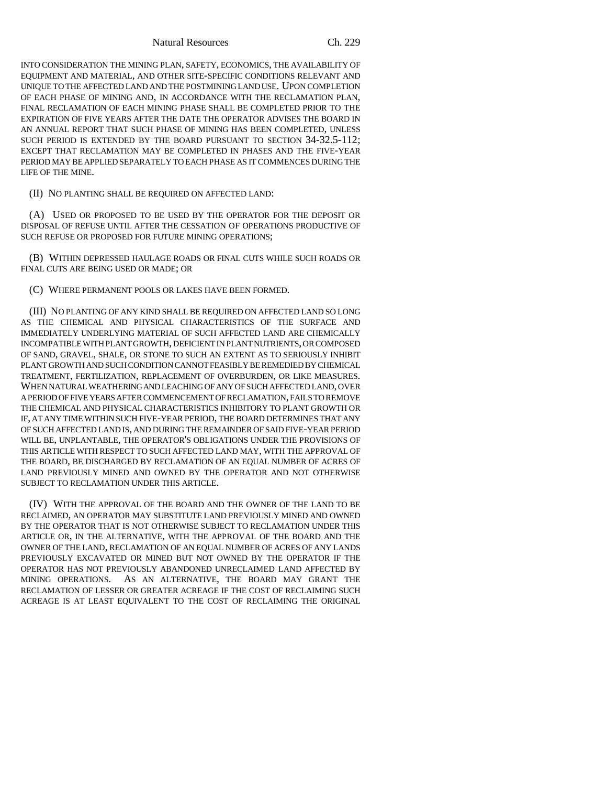Natural Resources Ch. 229

INTO CONSIDERATION THE MINING PLAN, SAFETY, ECONOMICS, THE AVAILABILITY OF EQUIPMENT AND MATERIAL, AND OTHER SITE-SPECIFIC CONDITIONS RELEVANT AND UNIQUE TO THE AFFECTED LAND AND THE POSTMINING LAND USE. UPON COMPLETION OF EACH PHASE OF MINING AND, IN ACCORDANCE WITH THE RECLAMATION PLAN, FINAL RECLAMATION OF EACH MINING PHASE SHALL BE COMPLETED PRIOR TO THE EXPIRATION OF FIVE YEARS AFTER THE DATE THE OPERATOR ADVISES THE BOARD IN AN ANNUAL REPORT THAT SUCH PHASE OF MINING HAS BEEN COMPLETED, UNLESS SUCH PERIOD IS EXTENDED BY THE BOARD PURSUANT TO SECTION 34-32.5-112; EXCEPT THAT RECLAMATION MAY BE COMPLETED IN PHASES AND THE FIVE-YEAR PERIOD MAY BE APPLIED SEPARATELY TO EACH PHASE AS IT COMMENCES DURING THE LIFE OF THE MINE.

(II) NO PLANTING SHALL BE REQUIRED ON AFFECTED LAND:

(A) USED OR PROPOSED TO BE USED BY THE OPERATOR FOR THE DEPOSIT OR DISPOSAL OF REFUSE UNTIL AFTER THE CESSATION OF OPERATIONS PRODUCTIVE OF SUCH REFUSE OR PROPOSED FOR FUTURE MINING OPERATIONS;

(B) WITHIN DEPRESSED HAULAGE ROADS OR FINAL CUTS WHILE SUCH ROADS OR FINAL CUTS ARE BEING USED OR MADE; OR

(C) WHERE PERMANENT POOLS OR LAKES HAVE BEEN FORMED.

(III) NO PLANTING OF ANY KIND SHALL BE REQUIRED ON AFFECTED LAND SO LONG AS THE CHEMICAL AND PHYSICAL CHARACTERISTICS OF THE SURFACE AND IMMEDIATELY UNDERLYING MATERIAL OF SUCH AFFECTED LAND ARE CHEMICALLY INCOMPATIBLE WITH PLANT GROWTH, DEFICIENT IN PLANT NUTRIENTS, OR COMPOSED OF SAND, GRAVEL, SHALE, OR STONE TO SUCH AN EXTENT AS TO SERIOUSLY INHIBIT PLANT GROWTH AND SUCH CONDITION CANNOT FEASIBLY BE REMEDIED BY CHEMICAL TREATMENT, FERTILIZATION, REPLACEMENT OF OVERBURDEN, OR LIKE MEASURES. WHEN NATURAL WEATHERING AND LEACHING OF ANY OF SUCH AFFECTED LAND, OVER A PERIOD OF FIVE YEARS AFTER COMMENCEMENT OF RECLAMATION, FAILS TO REMOVE THE CHEMICAL AND PHYSICAL CHARACTERISTICS INHIBITORY TO PLANT GROWTH OR IF, AT ANY TIME WITHIN SUCH FIVE-YEAR PERIOD, THE BOARD DETERMINES THAT ANY OF SUCH AFFECTED LAND IS, AND DURING THE REMAINDER OF SAID FIVE-YEAR PERIOD WILL BE, UNPLANTABLE, THE OPERATOR'S OBLIGATIONS UNDER THE PROVISIONS OF THIS ARTICLE WITH RESPECT TO SUCH AFFECTED LAND MAY, WITH THE APPROVAL OF THE BOARD, BE DISCHARGED BY RECLAMATION OF AN EQUAL NUMBER OF ACRES OF LAND PREVIOUSLY MINED AND OWNED BY THE OPERATOR AND NOT OTHERWISE SUBJECT TO RECLAMATION UNDER THIS ARTICLE.

(IV) WITH THE APPROVAL OF THE BOARD AND THE OWNER OF THE LAND TO BE RECLAIMED, AN OPERATOR MAY SUBSTITUTE LAND PREVIOUSLY MINED AND OWNED BY THE OPERATOR THAT IS NOT OTHERWISE SUBJECT TO RECLAMATION UNDER THIS ARTICLE OR, IN THE ALTERNATIVE, WITH THE APPROVAL OF THE BOARD AND THE OWNER OF THE LAND, RECLAMATION OF AN EQUAL NUMBER OF ACRES OF ANY LANDS PREVIOUSLY EXCAVATED OR MINED BUT NOT OWNED BY THE OPERATOR IF THE OPERATOR HAS NOT PREVIOUSLY ABANDONED UNRECLAIMED LAND AFFECTED BY MINING OPERATIONS. AS AN ALTERNATIVE, THE BOARD MAY GRANT THE RECLAMATION OF LESSER OR GREATER ACREAGE IF THE COST OF RECLAIMING SUCH ACREAGE IS AT LEAST EQUIVALENT TO THE COST OF RECLAIMING THE ORIGINAL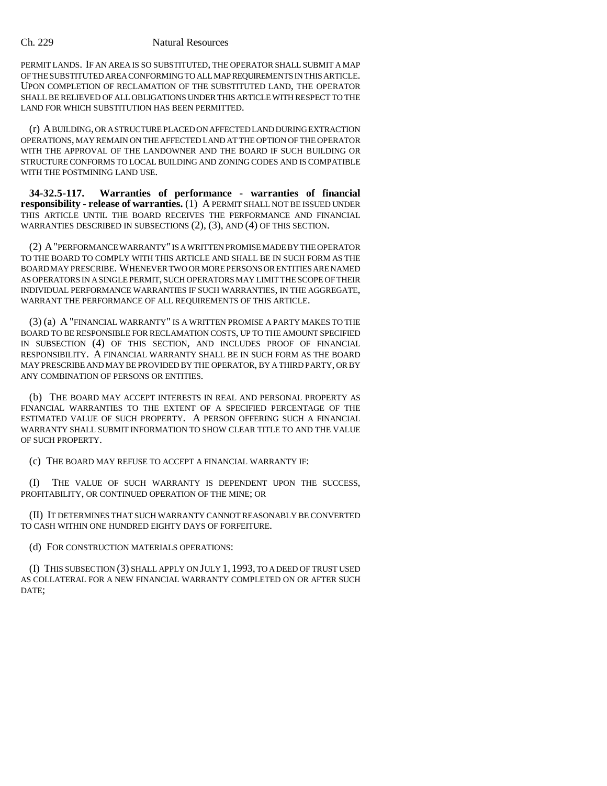PERMIT LANDS. IF AN AREA IS SO SUBSTITUTED, THE OPERATOR SHALL SUBMIT A MAP OF THE SUBSTITUTED AREA CONFORMING TO ALL MAP REQUIREMENTS IN THIS ARTICLE. UPON COMPLETION OF RECLAMATION OF THE SUBSTITUTED LAND, THE OPERATOR SHALL BE RELIEVED OF ALL OBLIGATIONS UNDER THIS ARTICLE WITH RESPECT TO THE LAND FOR WHICH SUBSTITUTION HAS BEEN PERMITTED.

(r) A BUILDING, OR A STRUCTURE PLACED ON AFFECTED LAND DURING EXTRACTION OPERATIONS, MAY REMAIN ON THE AFFECTED LAND AT THE OPTION OF THE OPERATOR WITH THE APPROVAL OF THE LANDOWNER AND THE BOARD IF SUCH BUILDING OR STRUCTURE CONFORMS TO LOCAL BUILDING AND ZONING CODES AND IS COMPATIBLE WITH THE POSTMINING LAND USE.

**34-32.5-117. Warranties of performance - warranties of financial responsibility - release of warranties.** (1) A PERMIT SHALL NOT BE ISSUED UNDER THIS ARTICLE UNTIL THE BOARD RECEIVES THE PERFORMANCE AND FINANCIAL WARRANTIES DESCRIBED IN SUBSECTIONS (2), (3), AND (4) OF THIS SECTION.

(2) A"PERFORMANCE WARRANTY" IS A WRITTEN PROMISE MADE BY THE OPERATOR TO THE BOARD TO COMPLY WITH THIS ARTICLE AND SHALL BE IN SUCH FORM AS THE BOARD MAY PRESCRIBE. WHENEVER TWO OR MORE PERSONS OR ENTITIES ARE NAMED AS OPERATORS IN A SINGLE PERMIT, SUCH OPERATORS MAY LIMIT THE SCOPE OF THEIR INDIVIDUAL PERFORMANCE WARRANTIES IF SUCH WARRANTIES, IN THE AGGREGATE, WARRANT THE PERFORMANCE OF ALL REQUIREMENTS OF THIS ARTICLE.

(3) (a) A "FINANCIAL WARRANTY" IS A WRITTEN PROMISE A PARTY MAKES TO THE BOARD TO BE RESPONSIBLE FOR RECLAMATION COSTS, UP TO THE AMOUNT SPECIFIED IN SUBSECTION (4) OF THIS SECTION, AND INCLUDES PROOF OF FINANCIAL RESPONSIBILITY. A FINANCIAL WARRANTY SHALL BE IN SUCH FORM AS THE BOARD MAY PRESCRIBE AND MAY BE PROVIDED BY THE OPERATOR, BY A THIRD PARTY, OR BY ANY COMBINATION OF PERSONS OR ENTITIES.

(b) THE BOARD MAY ACCEPT INTERESTS IN REAL AND PERSONAL PROPERTY AS FINANCIAL WARRANTIES TO THE EXTENT OF A SPECIFIED PERCENTAGE OF THE ESTIMATED VALUE OF SUCH PROPERTY. A PERSON OFFERING SUCH A FINANCIAL WARRANTY SHALL SUBMIT INFORMATION TO SHOW CLEAR TITLE TO AND THE VALUE OF SUCH PROPERTY.

(c) THE BOARD MAY REFUSE TO ACCEPT A FINANCIAL WARRANTY IF:

(I) THE VALUE OF SUCH WARRANTY IS DEPENDENT UPON THE SUCCESS, PROFITABILITY, OR CONTINUED OPERATION OF THE MINE; OR

(II) IT DETERMINES THAT SUCH WARRANTY CANNOT REASONABLY BE CONVERTED TO CASH WITHIN ONE HUNDRED EIGHTY DAYS OF FORFEITURE.

(d) FOR CONSTRUCTION MATERIALS OPERATIONS:

(I) THIS SUBSECTION (3) SHALL APPLY ON JULY 1, 1993, TO A DEED OF TRUST USED AS COLLATERAL FOR A NEW FINANCIAL WARRANTY COMPLETED ON OR AFTER SUCH DATE;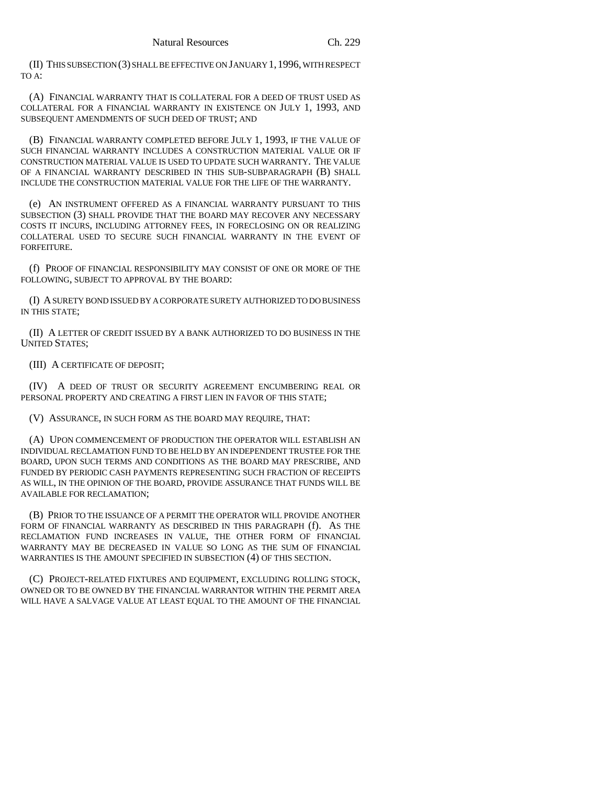(II) THIS SUBSECTION (3) SHALL BE EFFECTIVE ON JANUARY 1,1996, WITH RESPECT TO A:

(A) FINANCIAL WARRANTY THAT IS COLLATERAL FOR A DEED OF TRUST USED AS COLLATERAL FOR A FINANCIAL WARRANTY IN EXISTENCE ON JULY 1, 1993, AND SUBSEQUENT AMENDMENTS OF SUCH DEED OF TRUST; AND

(B) FINANCIAL WARRANTY COMPLETED BEFORE JULY 1, 1993, IF THE VALUE OF SUCH FINANCIAL WARRANTY INCLUDES A CONSTRUCTION MATERIAL VALUE OR IF CONSTRUCTION MATERIAL VALUE IS USED TO UPDATE SUCH WARRANTY. THE VALUE OF A FINANCIAL WARRANTY DESCRIBED IN THIS SUB-SUBPARAGRAPH (B) SHALL INCLUDE THE CONSTRUCTION MATERIAL VALUE FOR THE LIFE OF THE WARRANTY.

(e) AN INSTRUMENT OFFERED AS A FINANCIAL WARRANTY PURSUANT TO THIS SUBSECTION (3) SHALL PROVIDE THAT THE BOARD MAY RECOVER ANY NECESSARY COSTS IT INCURS, INCLUDING ATTORNEY FEES, IN FORECLOSING ON OR REALIZING COLLATERAL USED TO SECURE SUCH FINANCIAL WARRANTY IN THE EVENT OF FORFEITURE.

(f) PROOF OF FINANCIAL RESPONSIBILITY MAY CONSIST OF ONE OR MORE OF THE FOLLOWING, SUBJECT TO APPROVAL BY THE BOARD:

(I) A SURETY BOND ISSUED BY A CORPORATE SURETY AUTHORIZED TO DO BUSINESS IN THIS STATE;

(II) A LETTER OF CREDIT ISSUED BY A BANK AUTHORIZED TO DO BUSINESS IN THE UNITED STATES;

(III) A CERTIFICATE OF DEPOSIT;

(IV) A DEED OF TRUST OR SECURITY AGREEMENT ENCUMBERING REAL OR PERSONAL PROPERTY AND CREATING A FIRST LIEN IN FAVOR OF THIS STATE;

(V) ASSURANCE, IN SUCH FORM AS THE BOARD MAY REQUIRE, THAT:

(A) UPON COMMENCEMENT OF PRODUCTION THE OPERATOR WILL ESTABLISH AN INDIVIDUAL RECLAMATION FUND TO BE HELD BY AN INDEPENDENT TRUSTEE FOR THE BOARD, UPON SUCH TERMS AND CONDITIONS AS THE BOARD MAY PRESCRIBE, AND FUNDED BY PERIODIC CASH PAYMENTS REPRESENTING SUCH FRACTION OF RECEIPTS AS WILL, IN THE OPINION OF THE BOARD, PROVIDE ASSURANCE THAT FUNDS WILL BE AVAILABLE FOR RECLAMATION;

(B) PRIOR TO THE ISSUANCE OF A PERMIT THE OPERATOR WILL PROVIDE ANOTHER FORM OF FINANCIAL WARRANTY AS DESCRIBED IN THIS PARAGRAPH (f). AS THE RECLAMATION FUND INCREASES IN VALUE, THE OTHER FORM OF FINANCIAL WARRANTY MAY BE DECREASED IN VALUE SO LONG AS THE SUM OF FINANCIAL WARRANTIES IS THE AMOUNT SPECIFIED IN SUBSECTION (4) OF THIS SECTION.

(C) PROJECT-RELATED FIXTURES AND EQUIPMENT, EXCLUDING ROLLING STOCK, OWNED OR TO BE OWNED BY THE FINANCIAL WARRANTOR WITHIN THE PERMIT AREA WILL HAVE A SALVAGE VALUE AT LEAST EQUAL TO THE AMOUNT OF THE FINANCIAL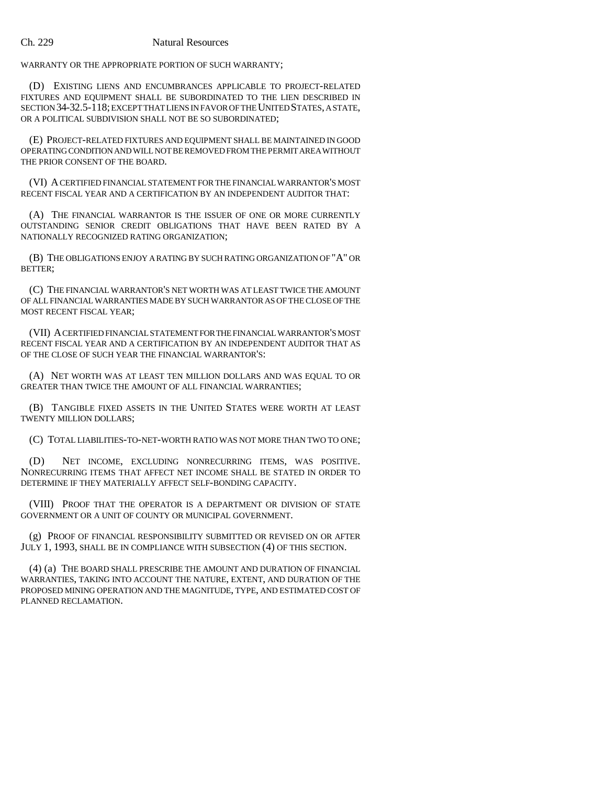WARRANTY OR THE APPROPRIATE PORTION OF SUCH WARRANTY;

(D) EXISTING LIENS AND ENCUMBRANCES APPLICABLE TO PROJECT-RELATED FIXTURES AND EQUIPMENT SHALL BE SUBORDINATED TO THE LIEN DESCRIBED IN SECTION 34-32.5-118; EXCEPT THAT LIENS IN FAVOR OF THE UNITED STATES, A STATE, OR A POLITICAL SUBDIVISION SHALL NOT BE SO SUBORDINATED;

(E) PROJECT-RELATED FIXTURES AND EQUIPMENT SHALL BE MAINTAINED IN GOOD OPERATING CONDITION AND WILL NOT BE REMOVED FROM THE PERMIT AREA WITHOUT THE PRIOR CONSENT OF THE BOARD.

(VI) A CERTIFIED FINANCIAL STATEMENT FOR THE FINANCIAL WARRANTOR'S MOST RECENT FISCAL YEAR AND A CERTIFICATION BY AN INDEPENDENT AUDITOR THAT:

(A) THE FINANCIAL WARRANTOR IS THE ISSUER OF ONE OR MORE CURRENTLY OUTSTANDING SENIOR CREDIT OBLIGATIONS THAT HAVE BEEN RATED BY A NATIONALLY RECOGNIZED RATING ORGANIZATION;

(B) THE OBLIGATIONS ENJOY A RATING BY SUCH RATING ORGANIZATION OF "A" OR BETTER;

(C) THE FINANCIAL WARRANTOR'S NET WORTH WAS AT LEAST TWICE THE AMOUNT OF ALL FINANCIAL WARRANTIES MADE BY SUCH WARRANTOR AS OF THE CLOSE OF THE MOST RECENT FISCAL YEAR;

(VII) A CERTIFIED FINANCIAL STATEMENT FOR THE FINANCIAL WARRANTOR'S MOST RECENT FISCAL YEAR AND A CERTIFICATION BY AN INDEPENDENT AUDITOR THAT AS OF THE CLOSE OF SUCH YEAR THE FINANCIAL WARRANTOR'S:

(A) NET WORTH WAS AT LEAST TEN MILLION DOLLARS AND WAS EQUAL TO OR GREATER THAN TWICE THE AMOUNT OF ALL FINANCIAL WARRANTIES;

(B) TANGIBLE FIXED ASSETS IN THE UNITED STATES WERE WORTH AT LEAST TWENTY MILLION DOLLARS;

(C) TOTAL LIABILITIES-TO-NET-WORTH RATIO WAS NOT MORE THAN TWO TO ONE;

(D) NET INCOME, EXCLUDING NONRECURRING ITEMS, WAS POSITIVE. NONRECURRING ITEMS THAT AFFECT NET INCOME SHALL BE STATED IN ORDER TO DETERMINE IF THEY MATERIALLY AFFECT SELF-BONDING CAPACITY.

(VIII) PROOF THAT THE OPERATOR IS A DEPARTMENT OR DIVISION OF STATE GOVERNMENT OR A UNIT OF COUNTY OR MUNICIPAL GOVERNMENT.

(g) PROOF OF FINANCIAL RESPONSIBILITY SUBMITTED OR REVISED ON OR AFTER JULY 1, 1993, SHALL BE IN COMPLIANCE WITH SUBSECTION (4) OF THIS SECTION.

(4) (a) THE BOARD SHALL PRESCRIBE THE AMOUNT AND DURATION OF FINANCIAL WARRANTIES, TAKING INTO ACCOUNT THE NATURE, EXTENT, AND DURATION OF THE PROPOSED MINING OPERATION AND THE MAGNITUDE, TYPE, AND ESTIMATED COST OF PLANNED RECLAMATION.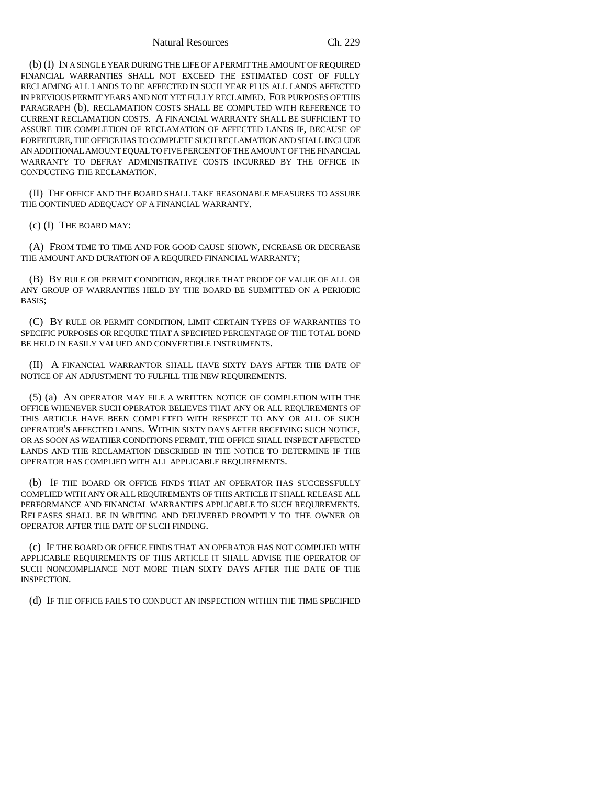Natural Resources Ch. 229

(b) (I) IN A SINGLE YEAR DURING THE LIFE OF A PERMIT THE AMOUNT OF REQUIRED FINANCIAL WARRANTIES SHALL NOT EXCEED THE ESTIMATED COST OF FULLY RECLAIMING ALL LANDS TO BE AFFECTED IN SUCH YEAR PLUS ALL LANDS AFFECTED IN PREVIOUS PERMIT YEARS AND NOT YET FULLY RECLAIMED. FOR PURPOSES OF THIS PARAGRAPH (b), RECLAMATION COSTS SHALL BE COMPUTED WITH REFERENCE TO CURRENT RECLAMATION COSTS. A FINANCIAL WARRANTY SHALL BE SUFFICIENT TO ASSURE THE COMPLETION OF RECLAMATION OF AFFECTED LANDS IF, BECAUSE OF FORFEITURE, THE OFFICE HAS TO COMPLETE SUCH RECLAMATION AND SHALL INCLUDE AN ADDITIONAL AMOUNT EQUAL TO FIVE PERCENT OF THE AMOUNT OF THE FINANCIAL WARRANTY TO DEFRAY ADMINISTRATIVE COSTS INCURRED BY THE OFFICE IN CONDUCTING THE RECLAMATION.

(II) THE OFFICE AND THE BOARD SHALL TAKE REASONABLE MEASURES TO ASSURE THE CONTINUED ADEQUACY OF A FINANCIAL WARRANTY.

(c) (I) THE BOARD MAY:

(A) FROM TIME TO TIME AND FOR GOOD CAUSE SHOWN, INCREASE OR DECREASE THE AMOUNT AND DURATION OF A REQUIRED FINANCIAL WARRANTY;

(B) BY RULE OR PERMIT CONDITION, REQUIRE THAT PROOF OF VALUE OF ALL OR ANY GROUP OF WARRANTIES HELD BY THE BOARD BE SUBMITTED ON A PERIODIC BASIS;

(C) BY RULE OR PERMIT CONDITION, LIMIT CERTAIN TYPES OF WARRANTIES TO SPECIFIC PURPOSES OR REQUIRE THAT A SPECIFIED PERCENTAGE OF THE TOTAL BOND BE HELD IN EASILY VALUED AND CONVERTIBLE INSTRUMENTS.

(II) A FINANCIAL WARRANTOR SHALL HAVE SIXTY DAYS AFTER THE DATE OF NOTICE OF AN ADJUSTMENT TO FULFILL THE NEW REQUIREMENTS.

(5) (a) AN OPERATOR MAY FILE A WRITTEN NOTICE OF COMPLETION WITH THE OFFICE WHENEVER SUCH OPERATOR BELIEVES THAT ANY OR ALL REQUIREMENTS OF THIS ARTICLE HAVE BEEN COMPLETED WITH RESPECT TO ANY OR ALL OF SUCH OPERATOR'S AFFECTED LANDS. WITHIN SIXTY DAYS AFTER RECEIVING SUCH NOTICE, OR AS SOON AS WEATHER CONDITIONS PERMIT, THE OFFICE SHALL INSPECT AFFECTED LANDS AND THE RECLAMATION DESCRIBED IN THE NOTICE TO DETERMINE IF THE OPERATOR HAS COMPLIED WITH ALL APPLICABLE REQUIREMENTS.

(b) IF THE BOARD OR OFFICE FINDS THAT AN OPERATOR HAS SUCCESSFULLY COMPLIED WITH ANY OR ALL REQUIREMENTS OF THIS ARTICLE IT SHALL RELEASE ALL PERFORMANCE AND FINANCIAL WARRANTIES APPLICABLE TO SUCH REQUIREMENTS. RELEASES SHALL BE IN WRITING AND DELIVERED PROMPTLY TO THE OWNER OR OPERATOR AFTER THE DATE OF SUCH FINDING.

(c) IF THE BOARD OR OFFICE FINDS THAT AN OPERATOR HAS NOT COMPLIED WITH APPLICABLE REQUIREMENTS OF THIS ARTICLE IT SHALL ADVISE THE OPERATOR OF SUCH NONCOMPLIANCE NOT MORE THAN SIXTY DAYS AFTER THE DATE OF THE INSPECTION.

(d) IF THE OFFICE FAILS TO CONDUCT AN INSPECTION WITHIN THE TIME SPECIFIED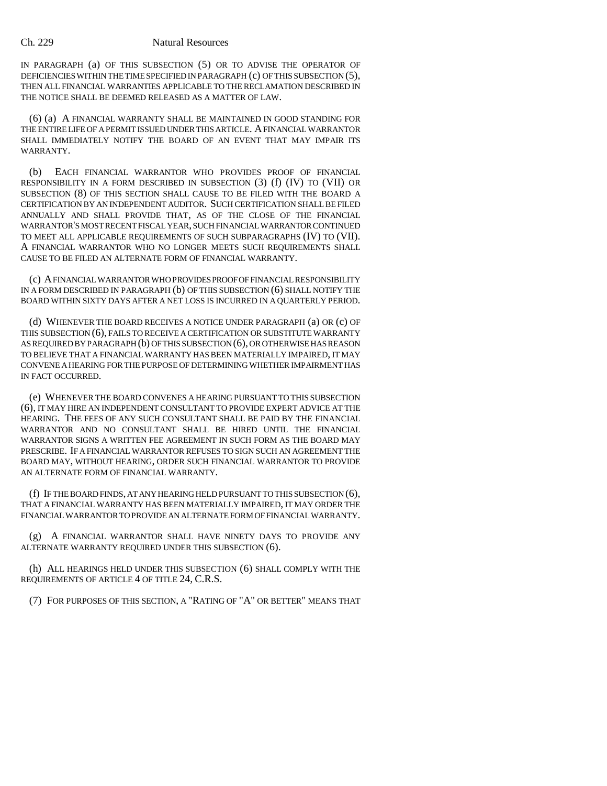IN PARAGRAPH (a) OF THIS SUBSECTION (5) OR TO ADVISE THE OPERATOR OF DEFICIENCIES WITHIN THE TIME SPECIFIED IN PARAGRAPH (c) OF THIS SUBSECTION (5), THEN ALL FINANCIAL WARRANTIES APPLICABLE TO THE RECLAMATION DESCRIBED IN THE NOTICE SHALL BE DEEMED RELEASED AS A MATTER OF LAW.

(6) (a) A FINANCIAL WARRANTY SHALL BE MAINTAINED IN GOOD STANDING FOR THE ENTIRE LIFE OF A PERMIT ISSUED UNDER THIS ARTICLE. A FINANCIAL WARRANTOR SHALL IMMEDIATELY NOTIFY THE BOARD OF AN EVENT THAT MAY IMPAIR ITS WARRANTY.

(b) EACH FINANCIAL WARRANTOR WHO PROVIDES PROOF OF FINANCIAL RESPONSIBILITY IN A FORM DESCRIBED IN SUBSECTION (3) (f) (IV) TO (VII) OR SUBSECTION (8) OF THIS SECTION SHALL CAUSE TO BE FILED WITH THE BOARD A CERTIFICATION BY AN INDEPENDENT AUDITOR. SUCH CERTIFICATION SHALL BE FILED ANNUALLY AND SHALL PROVIDE THAT, AS OF THE CLOSE OF THE FINANCIAL WARRANTOR'S MOST RECENT FISCAL YEAR, SUCH FINANCIAL WARRANTOR CONTINUED TO MEET ALL APPLICABLE REQUIREMENTS OF SUCH SUBPARAGRAPHS (IV) TO (VII). A FINANCIAL WARRANTOR WHO NO LONGER MEETS SUCH REQUIREMENTS SHALL CAUSE TO BE FILED AN ALTERNATE FORM OF FINANCIAL WARRANTY.

(c) A FINANCIAL WARRANTOR WHO PROVIDES PROOF OF FINANCIAL RESPONSIBILITY IN A FORM DESCRIBED IN PARAGRAPH (b) OF THIS SUBSECTION (6) SHALL NOTIFY THE BOARD WITHIN SIXTY DAYS AFTER A NET LOSS IS INCURRED IN A QUARTERLY PERIOD.

(d) WHENEVER THE BOARD RECEIVES A NOTICE UNDER PARAGRAPH (a) OR (c) OF THIS SUBSECTION (6), FAILS TO RECEIVE A CERTIFICATION OR SUBSTITUTE WARRANTY AS REQUIRED BY PARAGRAPH (b) OF THIS SUBSECTION (6), OR OTHERWISE HAS REASON TO BELIEVE THAT A FINANCIAL WARRANTY HAS BEEN MATERIALLY IMPAIRED, IT MAY CONVENE A HEARING FOR THE PURPOSE OF DETERMINING WHETHER IMPAIRMENT HAS IN FACT OCCURRED.

(e) WHENEVER THE BOARD CONVENES A HEARING PURSUANT TO THIS SUBSECTION (6), IT MAY HIRE AN INDEPENDENT CONSULTANT TO PROVIDE EXPERT ADVICE AT THE HEARING. THE FEES OF ANY SUCH CONSULTANT SHALL BE PAID BY THE FINANCIAL WARRANTOR AND NO CONSULTANT SHALL BE HIRED UNTIL THE FINANCIAL WARRANTOR SIGNS A WRITTEN FEE AGREEMENT IN SUCH FORM AS THE BOARD MAY PRESCRIBE. IF A FINANCIAL WARRANTOR REFUSES TO SIGN SUCH AN AGREEMENT THE BOARD MAY, WITHOUT HEARING, ORDER SUCH FINANCIAL WARRANTOR TO PROVIDE AN ALTERNATE FORM OF FINANCIAL WARRANTY.

(f) IF THE BOARD FINDS, AT ANY HEARING HELD PURSUANT TO THIS SUBSECTION (6), THAT A FINANCIAL WARRANTY HAS BEEN MATERIALLY IMPAIRED, IT MAY ORDER THE FINANCIAL WARRANTOR TO PROVIDE AN ALTERNATE FORM OF FINANCIAL WARRANTY.

(g) A FINANCIAL WARRANTOR SHALL HAVE NINETY DAYS TO PROVIDE ANY ALTERNATE WARRANTY REQUIRED UNDER THIS SUBSECTION (6).

(h) ALL HEARINGS HELD UNDER THIS SUBSECTION (6) SHALL COMPLY WITH THE REQUIREMENTS OF ARTICLE 4 OF TITLE 24, C.R.S.

(7) FOR PURPOSES OF THIS SECTION, A "RATING OF "A" OR BETTER" MEANS THAT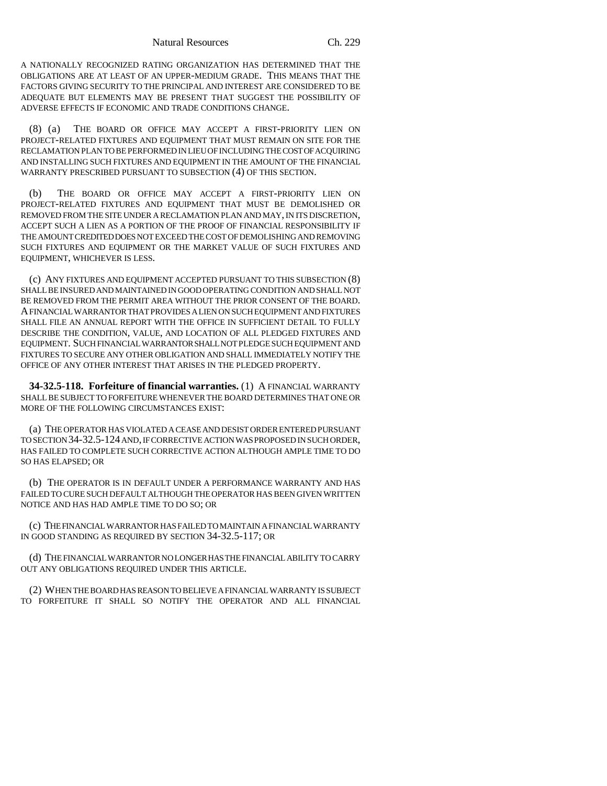A NATIONALLY RECOGNIZED RATING ORGANIZATION HAS DETERMINED THAT THE OBLIGATIONS ARE AT LEAST OF AN UPPER-MEDIUM GRADE. THIS MEANS THAT THE FACTORS GIVING SECURITY TO THE PRINCIPAL AND INTEREST ARE CONSIDERED TO BE ADEQUATE BUT ELEMENTS MAY BE PRESENT THAT SUGGEST THE POSSIBILITY OF ADVERSE EFFECTS IF ECONOMIC AND TRADE CONDITIONS CHANGE.

(8) (a) THE BOARD OR OFFICE MAY ACCEPT A FIRST-PRIORITY LIEN ON PROJECT-RELATED FIXTURES AND EQUIPMENT THAT MUST REMAIN ON SITE FOR THE RECLAMATION PLAN TO BE PERFORMED IN LIEU OF INCLUDING THE COST OF ACQUIRING AND INSTALLING SUCH FIXTURES AND EQUIPMENT IN THE AMOUNT OF THE FINANCIAL WARRANTY PRESCRIBED PURSUANT TO SUBSECTION (4) OF THIS SECTION.

(b) THE BOARD OR OFFICE MAY ACCEPT A FIRST-PRIORITY LIEN ON PROJECT-RELATED FIXTURES AND EQUIPMENT THAT MUST BE DEMOLISHED OR REMOVED FROM THE SITE UNDER A RECLAMATION PLAN AND MAY, IN ITS DISCRETION, ACCEPT SUCH A LIEN AS A PORTION OF THE PROOF OF FINANCIAL RESPONSIBILITY IF THE AMOUNT CREDITED DOES NOT EXCEED THE COST OF DEMOLISHING AND REMOVING SUCH FIXTURES AND EQUIPMENT OR THE MARKET VALUE OF SUCH FIXTURES AND EQUIPMENT, WHICHEVER IS LESS.

(c) ANY FIXTURES AND EQUIPMENT ACCEPTED PURSUANT TO THIS SUBSECTION (8) SHALL BE INSURED AND MAINTAINED IN GOOD OPERATING CONDITION AND SHALL NOT BE REMOVED FROM THE PERMIT AREA WITHOUT THE PRIOR CONSENT OF THE BOARD. A FINANCIAL WARRANTOR THAT PROVIDES A LIEN ON SUCH EQUIPMENT AND FIXTURES SHALL FILE AN ANNUAL REPORT WITH THE OFFICE IN SUFFICIENT DETAIL TO FULLY DESCRIBE THE CONDITION, VALUE, AND LOCATION OF ALL PLEDGED FIXTURES AND EQUIPMENT. SUCH FINANCIAL WARRANTOR SHALL NOT PLEDGE SUCH EQUIPMENT AND FIXTURES TO SECURE ANY OTHER OBLIGATION AND SHALL IMMEDIATELY NOTIFY THE OFFICE OF ANY OTHER INTEREST THAT ARISES IN THE PLEDGED PROPERTY.

**34-32.5-118. Forfeiture of financial warranties.** (1) A FINANCIAL WARRANTY SHALL BE SUBJECT TO FORFEITURE WHENEVER THE BOARD DETERMINES THAT ONE OR MORE OF THE FOLLOWING CIRCUMSTANCES EXIST:

(a) THE OPERATOR HAS VIOLATED A CEASE AND DESIST ORDER ENTERED PURSUANT TO SECTION 34-32.5-124 AND, IF CORRECTIVE ACTION WAS PROPOSED IN SUCH ORDER, HAS FAILED TO COMPLETE SUCH CORRECTIVE ACTION ALTHOUGH AMPLE TIME TO DO SO HAS ELAPSED; OR

(b) THE OPERATOR IS IN DEFAULT UNDER A PERFORMANCE WARRANTY AND HAS FAILED TO CURE SUCH DEFAULT ALTHOUGH THE OPERATOR HAS BEEN GIVEN WRITTEN NOTICE AND HAS HAD AMPLE TIME TO DO SO; OR

(c) THE FINANCIAL WARRANTOR HAS FAILED TO MAINTAIN A FINANCIAL WARRANTY IN GOOD STANDING AS REQUIRED BY SECTION 34-32.5-117; OR

(d) THE FINANCIAL WARRANTOR NO LONGER HAS THE FINANCIAL ABILITY TO CARRY OUT ANY OBLIGATIONS REQUIRED UNDER THIS ARTICLE.

(2) WHEN THE BOARD HAS REASON TO BELIEVE A FINANCIAL WARRANTY IS SUBJECT TO FORFEITURE IT SHALL SO NOTIFY THE OPERATOR AND ALL FINANCIAL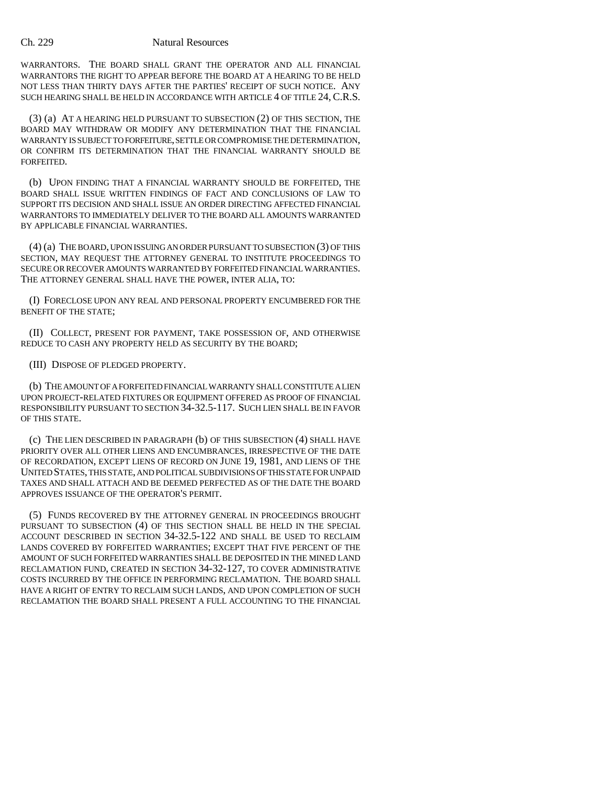WARRANTORS. THE BOARD SHALL GRANT THE OPERATOR AND ALL FINANCIAL WARRANTORS THE RIGHT TO APPEAR BEFORE THE BOARD AT A HEARING TO BE HELD NOT LESS THAN THIRTY DAYS AFTER THE PARTIES' RECEIPT OF SUCH NOTICE. ANY SUCH HEARING SHALL BE HELD IN ACCORDANCE WITH ARTICLE 4 OF TITLE 24, C.R.S.

(3) (a) AT A HEARING HELD PURSUANT TO SUBSECTION (2) OF THIS SECTION, THE BOARD MAY WITHDRAW OR MODIFY ANY DETERMINATION THAT THE FINANCIAL WARRANTY IS SUBJECT TO FORFEITURE, SETTLE OR COMPROMISE THE DETERMINATION, OR CONFIRM ITS DETERMINATION THAT THE FINANCIAL WARRANTY SHOULD BE FORFEITED.

(b) UPON FINDING THAT A FINANCIAL WARRANTY SHOULD BE FORFEITED, THE BOARD SHALL ISSUE WRITTEN FINDINGS OF FACT AND CONCLUSIONS OF LAW TO SUPPORT ITS DECISION AND SHALL ISSUE AN ORDER DIRECTING AFFECTED FINANCIAL WARRANTORS TO IMMEDIATELY DELIVER TO THE BOARD ALL AMOUNTS WARRANTED BY APPLICABLE FINANCIAL WARRANTIES.

(4) (a) THE BOARD, UPON ISSUING AN ORDER PURSUANT TO SUBSECTION (3) OF THIS SECTION, MAY REQUEST THE ATTORNEY GENERAL TO INSTITUTE PROCEEDINGS TO SECURE OR RECOVER AMOUNTS WARRANTED BY FORFEITED FINANCIAL WARRANTIES. THE ATTORNEY GENERAL SHALL HAVE THE POWER, INTER ALIA, TO:

(I) FORECLOSE UPON ANY REAL AND PERSONAL PROPERTY ENCUMBERED FOR THE BENEFIT OF THE STATE;

(II) COLLECT, PRESENT FOR PAYMENT, TAKE POSSESSION OF, AND OTHERWISE REDUCE TO CASH ANY PROPERTY HELD AS SECURITY BY THE BOARD;

(III) DISPOSE OF PLEDGED PROPERTY.

(b) THE AMOUNT OF A FORFEITED FINANCIAL WARRANTY SHALL CONSTITUTE A LIEN UPON PROJECT-RELATED FIXTURES OR EQUIPMENT OFFERED AS PROOF OF FINANCIAL RESPONSIBILITY PURSUANT TO SECTION 34-32.5-117. SUCH LIEN SHALL BE IN FAVOR OF THIS STATE.

(c) THE LIEN DESCRIBED IN PARAGRAPH (b) OF THIS SUBSECTION (4) SHALL HAVE PRIORITY OVER ALL OTHER LIENS AND ENCUMBRANCES, IRRESPECTIVE OF THE DATE OF RECORDATION, EXCEPT LIENS OF RECORD ON JUNE 19, 1981, AND LIENS OF THE UNITED STATES, THIS STATE, AND POLITICAL SUBDIVISIONS OF THIS STATE FOR UNPAID TAXES AND SHALL ATTACH AND BE DEEMED PERFECTED AS OF THE DATE THE BOARD APPROVES ISSUANCE OF THE OPERATOR'S PERMIT.

(5) FUNDS RECOVERED BY THE ATTORNEY GENERAL IN PROCEEDINGS BROUGHT PURSUANT TO SUBSECTION (4) OF THIS SECTION SHALL BE HELD IN THE SPECIAL ACCOUNT DESCRIBED IN SECTION 34-32.5-122 AND SHALL BE USED TO RECLAIM LANDS COVERED BY FORFEITED WARRANTIES; EXCEPT THAT FIVE PERCENT OF THE AMOUNT OF SUCH FORFEITED WARRANTIES SHALL BE DEPOSITED IN THE MINED LAND RECLAMATION FUND, CREATED IN SECTION 34-32-127, TO COVER ADMINISTRATIVE COSTS INCURRED BY THE OFFICE IN PERFORMING RECLAMATION. THE BOARD SHALL HAVE A RIGHT OF ENTRY TO RECLAIM SUCH LANDS, AND UPON COMPLETION OF SUCH RECLAMATION THE BOARD SHALL PRESENT A FULL ACCOUNTING TO THE FINANCIAL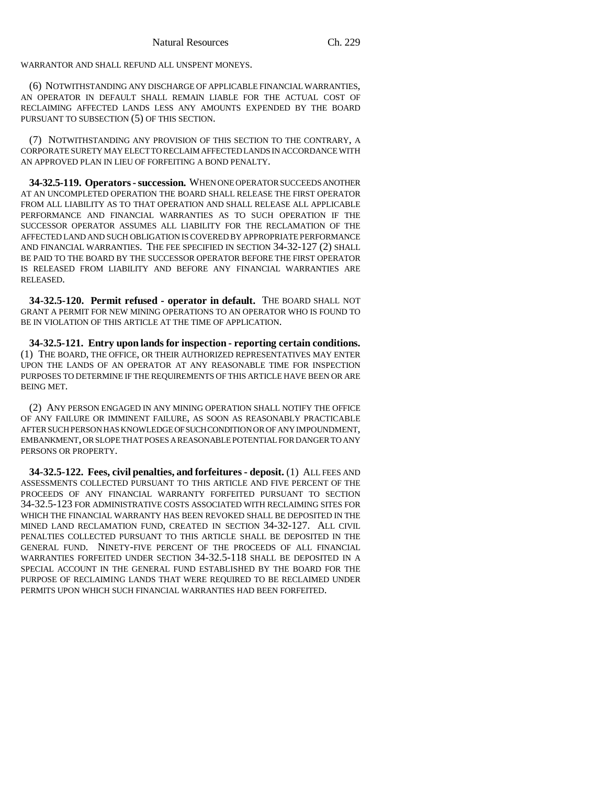WARRANTOR AND SHALL REFUND ALL UNSPENT MONEYS.

(6) NOTWITHSTANDING ANY DISCHARGE OF APPLICABLE FINANCIAL WARRANTIES, AN OPERATOR IN DEFAULT SHALL REMAIN LIABLE FOR THE ACTUAL COST OF RECLAIMING AFFECTED LANDS LESS ANY AMOUNTS EXPENDED BY THE BOARD PURSUANT TO SUBSECTION (5) OF THIS SECTION.

(7) NOTWITHSTANDING ANY PROVISION OF THIS SECTION TO THE CONTRARY, A CORPORATE SURETY MAY ELECT TO RECLAIM AFFECTED LANDS IN ACCORDANCE WITH AN APPROVED PLAN IN LIEU OF FORFEITING A BOND PENALTY.

**34-32.5-119. Operators - succession.** WHEN ONE OPERATOR SUCCEEDS ANOTHER AT AN UNCOMPLETED OPERATION THE BOARD SHALL RELEASE THE FIRST OPERATOR FROM ALL LIABILITY AS TO THAT OPERATION AND SHALL RELEASE ALL APPLICABLE PERFORMANCE AND FINANCIAL WARRANTIES AS TO SUCH OPERATION IF THE SUCCESSOR OPERATOR ASSUMES ALL LIABILITY FOR THE RECLAMATION OF THE AFFECTED LAND AND SUCH OBLIGATION IS COVERED BY APPROPRIATE PERFORMANCE AND FINANCIAL WARRANTIES. THE FEE SPECIFIED IN SECTION 34-32-127 (2) SHALL BE PAID TO THE BOARD BY THE SUCCESSOR OPERATOR BEFORE THE FIRST OPERATOR IS RELEASED FROM LIABILITY AND BEFORE ANY FINANCIAL WARRANTIES ARE RELEASED.

**34-32.5-120. Permit refused - operator in default.** THE BOARD SHALL NOT GRANT A PERMIT FOR NEW MINING OPERATIONS TO AN OPERATOR WHO IS FOUND TO BE IN VIOLATION OF THIS ARTICLE AT THE TIME OF APPLICATION.

**34-32.5-121. Entry upon lands for inspection - reporting certain conditions.** (1) THE BOARD, THE OFFICE, OR THEIR AUTHORIZED REPRESENTATIVES MAY ENTER UPON THE LANDS OF AN OPERATOR AT ANY REASONABLE TIME FOR INSPECTION PURPOSES TO DETERMINE IF THE REQUIREMENTS OF THIS ARTICLE HAVE BEEN OR ARE BEING MET.

(2) ANY PERSON ENGAGED IN ANY MINING OPERATION SHALL NOTIFY THE OFFICE OF ANY FAILURE OR IMMINENT FAILURE, AS SOON AS REASONABLY PRACTICABLE AFTER SUCH PERSON HAS KNOWLEDGE OF SUCH CONDITION OR OF ANY IMPOUNDMENT, EMBANKMENT, OR SLOPE THAT POSES A REASONABLE POTENTIAL FOR DANGER TO ANY PERSONS OR PROPERTY.

**34-32.5-122. Fees, civil penalties, and forfeitures - deposit.** (1) ALL FEES AND ASSESSMENTS COLLECTED PURSUANT TO THIS ARTICLE AND FIVE PERCENT OF THE PROCEEDS OF ANY FINANCIAL WARRANTY FORFEITED PURSUANT TO SECTION 34-32.5-123 FOR ADMINISTRATIVE COSTS ASSOCIATED WITH RECLAIMING SITES FOR WHICH THE FINANCIAL WARRANTY HAS BEEN REVOKED SHALL BE DEPOSITED IN THE MINED LAND RECLAMATION FUND, CREATED IN SECTION 34-32-127. ALL CIVIL PENALTIES COLLECTED PURSUANT TO THIS ARTICLE SHALL BE DEPOSITED IN THE GENERAL FUND. NINETY-FIVE PERCENT OF THE PROCEEDS OF ALL FINANCIAL WARRANTIES FORFEITED UNDER SECTION 34-32.5-118 SHALL BE DEPOSITED IN A SPECIAL ACCOUNT IN THE GENERAL FUND ESTABLISHED BY THE BOARD FOR THE PURPOSE OF RECLAIMING LANDS THAT WERE REQUIRED TO BE RECLAIMED UNDER PERMITS UPON WHICH SUCH FINANCIAL WARRANTIES HAD BEEN FORFEITED.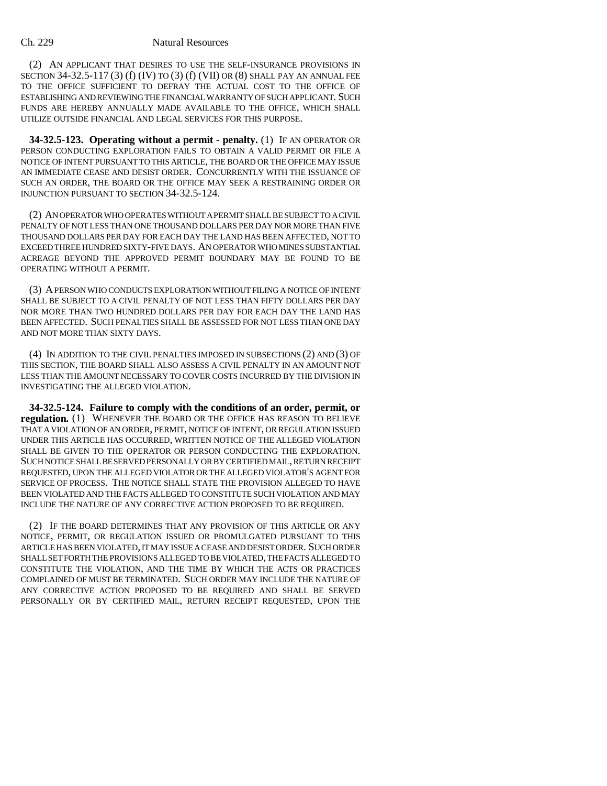(2) AN APPLICANT THAT DESIRES TO USE THE SELF-INSURANCE PROVISIONS IN SECTION 34-32.5-117 (3) (f) (IV) TO (3) (f) (VII) OR (8) SHALL PAY AN ANNUAL FEE TO THE OFFICE SUFFICIENT TO DEFRAY THE ACTUAL COST TO THE OFFICE OF ESTABLISHING AND REVIEWING THE FINANCIAL WARRANTY OF SUCH APPLICANT. SUCH FUNDS ARE HEREBY ANNUALLY MADE AVAILABLE TO THE OFFICE, WHICH SHALL UTILIZE OUTSIDE FINANCIAL AND LEGAL SERVICES FOR THIS PURPOSE.

**34-32.5-123. Operating without a permit - penalty.** (1) IF AN OPERATOR OR PERSON CONDUCTING EXPLORATION FAILS TO OBTAIN A VALID PERMIT OR FILE A NOTICE OF INTENT PURSUANT TO THIS ARTICLE, THE BOARD OR THE OFFICE MAY ISSUE AN IMMEDIATE CEASE AND DESIST ORDER. CONCURRENTLY WITH THE ISSUANCE OF SUCH AN ORDER, THE BOARD OR THE OFFICE MAY SEEK A RESTRAINING ORDER OR INJUNCTION PURSUANT TO SECTION 34-32.5-124.

(2) AN OPERATOR WHO OPERATES WITHOUT A PERMIT SHALL BE SUBJECT TO A CIVIL PENALTY OF NOT LESS THAN ONE THOUSAND DOLLARS PER DAY NOR MORE THAN FIVE THOUSAND DOLLARS PER DAY FOR EACH DAY THE LAND HAS BEEN AFFECTED, NOT TO EXCEED THREE HUNDRED SIXTY-FIVE DAYS. AN OPERATOR WHO MINES SUBSTANTIAL ACREAGE BEYOND THE APPROVED PERMIT BOUNDARY MAY BE FOUND TO BE OPERATING WITHOUT A PERMIT.

(3) A PERSON WHO CONDUCTS EXPLORATION WITHOUT FILING A NOTICE OF INTENT SHALL BE SUBJECT TO A CIVIL PENALTY OF NOT LESS THAN FIFTY DOLLARS PER DAY NOR MORE THAN TWO HUNDRED DOLLARS PER DAY FOR EACH DAY THE LAND HAS BEEN AFFECTED. SUCH PENALTIES SHALL BE ASSESSED FOR NOT LESS THAN ONE DAY AND NOT MORE THAN SIXTY DAYS.

(4) IN ADDITION TO THE CIVIL PENALTIES IMPOSED IN SUBSECTIONS (2) AND (3) OF THIS SECTION, THE BOARD SHALL ALSO ASSESS A CIVIL PENALTY IN AN AMOUNT NOT LESS THAN THE AMOUNT NECESSARY TO COVER COSTS INCURRED BY THE DIVISION IN INVESTIGATING THE ALLEGED VIOLATION.

**34-32.5-124. Failure to comply with the conditions of an order, permit, or regulation.** (1) WHENEVER THE BOARD OR THE OFFICE HAS REASON TO BELIEVE THAT A VIOLATION OF AN ORDER, PERMIT, NOTICE OF INTENT, OR REGULATION ISSUED UNDER THIS ARTICLE HAS OCCURRED, WRITTEN NOTICE OF THE ALLEGED VIOLATION SHALL BE GIVEN TO THE OPERATOR OR PERSON CONDUCTING THE EXPLORATION. SUCH NOTICE SHALL BE SERVED PERSONALLY OR BY CERTIFIED MAIL, RETURN RECEIPT REQUESTED, UPON THE ALLEGED VIOLATOR OR THE ALLEGED VIOLATOR'S AGENT FOR SERVICE OF PROCESS. THE NOTICE SHALL STATE THE PROVISION ALLEGED TO HAVE BEEN VIOLATED AND THE FACTS ALLEGED TO CONSTITUTE SUCH VIOLATION AND MAY INCLUDE THE NATURE OF ANY CORRECTIVE ACTION PROPOSED TO BE REQUIRED.

(2) IF THE BOARD DETERMINES THAT ANY PROVISION OF THIS ARTICLE OR ANY NOTICE, PERMIT, OR REGULATION ISSUED OR PROMULGATED PURSUANT TO THIS ARTICLE HAS BEEN VIOLATED, IT MAY ISSUE A CEASE AND DESIST ORDER. SUCH ORDER SHALL SET FORTH THE PROVISIONS ALLEGED TO BE VIOLATED, THE FACTS ALLEGED TO CONSTITUTE THE VIOLATION, AND THE TIME BY WHICH THE ACTS OR PRACTICES COMPLAINED OF MUST BE TERMINATED. SUCH ORDER MAY INCLUDE THE NATURE OF ANY CORRECTIVE ACTION PROPOSED TO BE REQUIRED AND SHALL BE SERVED PERSONALLY OR BY CERTIFIED MAIL, RETURN RECEIPT REQUESTED, UPON THE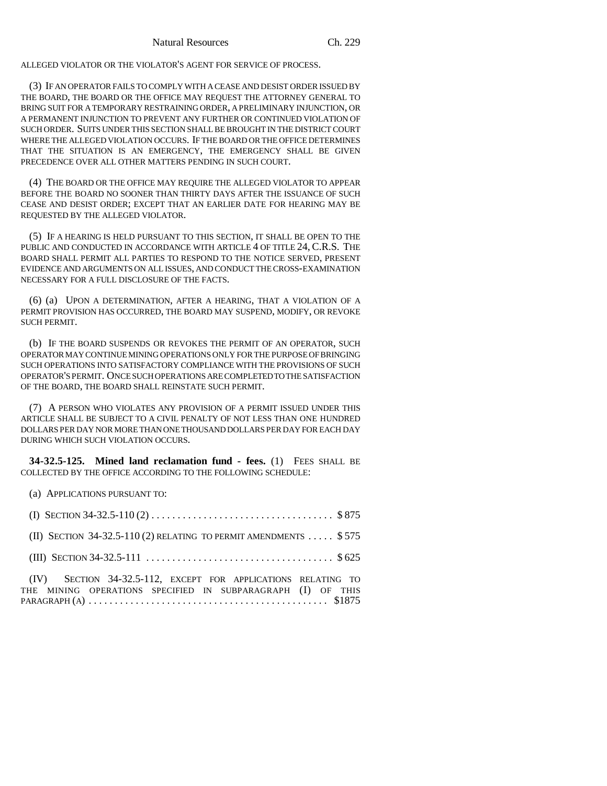ALLEGED VIOLATOR OR THE VIOLATOR'S AGENT FOR SERVICE OF PROCESS.

(3) IF AN OPERATOR FAILS TO COMPLY WITH A CEASE AND DESIST ORDER ISSUED BY THE BOARD, THE BOARD OR THE OFFICE MAY REQUEST THE ATTORNEY GENERAL TO BRING SUIT FOR A TEMPORARY RESTRAINING ORDER, A PRELIMINARY INJUNCTION, OR A PERMANENT INJUNCTION TO PREVENT ANY FURTHER OR CONTINUED VIOLATION OF SUCH ORDER. SUITS UNDER THIS SECTION SHALL BE BROUGHT IN THE DISTRICT COURT WHERE THE ALLEGED VIOLATION OCCURS. IF THE BOARD OR THE OFFICE DETERMINES THAT THE SITUATION IS AN EMERGENCY, THE EMERGENCY SHALL BE GIVEN PRECEDENCE OVER ALL OTHER MATTERS PENDING IN SUCH COURT.

(4) THE BOARD OR THE OFFICE MAY REQUIRE THE ALLEGED VIOLATOR TO APPEAR BEFORE THE BOARD NO SOONER THAN THIRTY DAYS AFTER THE ISSUANCE OF SUCH CEASE AND DESIST ORDER; EXCEPT THAT AN EARLIER DATE FOR HEARING MAY BE REQUESTED BY THE ALLEGED VIOLATOR.

(5) IF A HEARING IS HELD PURSUANT TO THIS SECTION, IT SHALL BE OPEN TO THE PUBLIC AND CONDUCTED IN ACCORDANCE WITH ARTICLE 4 OF TITLE 24, C.R.S. THE BOARD SHALL PERMIT ALL PARTIES TO RESPOND TO THE NOTICE SERVED, PRESENT EVIDENCE AND ARGUMENTS ON ALL ISSUES, AND CONDUCT THE CROSS-EXAMINATION NECESSARY FOR A FULL DISCLOSURE OF THE FACTS.

(6) (a) UPON A DETERMINATION, AFTER A HEARING, THAT A VIOLATION OF A PERMIT PROVISION HAS OCCURRED, THE BOARD MAY SUSPEND, MODIFY, OR REVOKE SUCH PERMIT.

(b) IF THE BOARD SUSPENDS OR REVOKES THE PERMIT OF AN OPERATOR, SUCH OPERATOR MAY CONTINUE MINING OPERATIONS ONLY FOR THE PURPOSE OF BRINGING SUCH OPERATIONS INTO SATISFACTORY COMPLIANCE WITH THE PROVISIONS OF SUCH OPERATOR'S PERMIT. ONCE SUCH OPERATIONS ARE COMPLETED TO THE SATISFACTION OF THE BOARD, THE BOARD SHALL REINSTATE SUCH PERMIT.

(7) A PERSON WHO VIOLATES ANY PROVISION OF A PERMIT ISSUED UNDER THIS ARTICLE SHALL BE SUBJECT TO A CIVIL PENALTY OF NOT LESS THAN ONE HUNDRED DOLLARS PER DAY NOR MORE THAN ONE THOUSAND DOLLARS PER DAY FOR EACH DAY DURING WHICH SUCH VIOLATION OCCURS.

**34-32.5-125. Mined land reclamation fund - fees.** (1) FEES SHALL BE COLLECTED BY THE OFFICE ACCORDING TO THE FOLLOWING SCHEDULE:

(a) APPLICATIONS PURSUANT TO:

| (I) SECTION 34-32.5-110 (2) $\dots \dots \dots \dots \dots \dots \dots \dots \dots \dots \dots \dots \$ \$875                |  |
|------------------------------------------------------------------------------------------------------------------------------|--|
| (II) SECTION 34-32.5-110 (2) RELATING TO PERMIT AMENDMENTS  \$575                                                            |  |
|                                                                                                                              |  |
| (IV) SECTION 34-32.5-112, EXCEPT FOR APPLICATIONS RELATING TO<br>THE MINING OPERATIONS SPECIFIED IN SUBPARAGRAPH (I) OF THIS |  |

PARAGRAPH (A).............................................. \$1875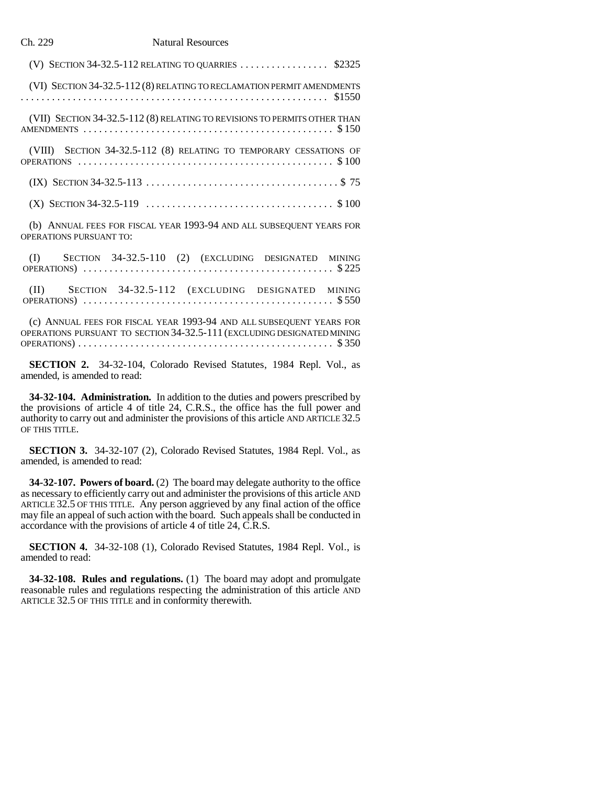| (V) SECTION 34-32.5-112 RELATING TO QUARRIES  \$2325                                                         |
|--------------------------------------------------------------------------------------------------------------|
| (VI) SECTION 34-32.5-112 (8) RELATING TO RECLAMATION PERMIT AMENDMENTS                                       |
| (VII) SECTION 34-32.5-112 (8) RELATING TO REVISIONS TO PERMITS OTHER THAN                                    |
| (VIII) SECTION 34-32.5-112 (8) RELATING TO TEMPORARY CESSATIONS OF                                           |
|                                                                                                              |
| (X) SECTION 34-32.5-119 $\ldots \ldots \ldots \ldots \ldots \ldots \ldots \ldots \ldots \ldots \ldots$ \$100 |
| (b) ANNUAL FEES FOR FISCAL YEAR 1993-94 AND ALL SUBSEQUENT YEARS FOR<br><b>OPERATIONS PURSUANT TO:</b>       |
| (I) SECTION 34-32.5-110 (2) (EXCLUDING DESIGNATED MINING                                                     |

(II) SECTION 34-32.5-112 (EXCLUDING DESIGNATED MINING OPERATIONS) ................................................ \$ 550

(c) ANNUAL FEES FOR FISCAL YEAR 1993-94 AND ALL SUBSEQUENT YEARS FOR OPERATIONS PURSUANT TO SECTION 34-32.5-111 (EXCLUDING DESIGNATED MINING OPERATIONS)................................................. \$ 350

**SECTION 2.** 34-32-104, Colorado Revised Statutes, 1984 Repl. Vol., as amended, is amended to read:

**34-32-104. Administration.** In addition to the duties and powers prescribed by the provisions of article 4 of title 24, C.R.S., the office has the full power and authority to carry out and administer the provisions of this article AND ARTICLE 32.5 OF THIS TITLE.

**SECTION 3.** 34-32-107 (2), Colorado Revised Statutes, 1984 Repl. Vol., as amended, is amended to read:

**34-32-107. Powers of board.** (2) The board may delegate authority to the office as necessary to efficiently carry out and administer the provisions of this article AND ARTICLE 32.5 OF THIS TITLE. Any person aggrieved by any final action of the office may file an appeal of such action with the board. Such appeals shall be conducted in accordance with the provisions of article 4 of title 24, C.R.S.

**SECTION 4.** 34-32-108 (1), Colorado Revised Statutes, 1984 Repl. Vol., is amended to read:

**34-32-108. Rules and regulations.** (1) The board may adopt and promulgate reasonable rules and regulations respecting the administration of this article AND ARTICLE 32.5 OF THIS TITLE and in conformity therewith.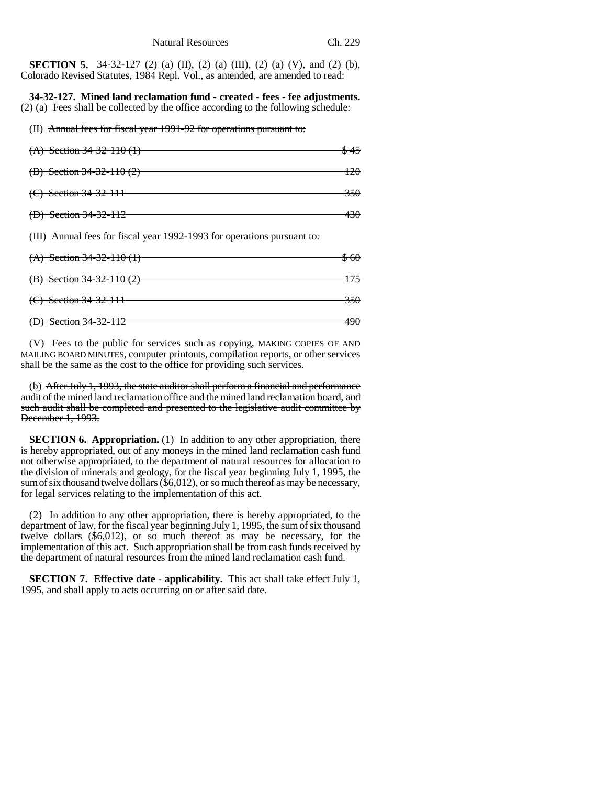**SECTION 5.** 34-32-127 (2) (a) (II), (2) (a) (III), (2) (a) (V), and (2) (b), Colorado Revised Statutes, 1984 Repl. Vol., as amended, are amended to read:

**34-32-127. Mined land reclamation fund - created - fees - fee adjustments.** (2) (a) Fees shall be collected by the office according to the following schedule:

(II) Annual fees for fiscal year 1991-92 for operations pursuant to:

| (A) Section 34-32-110 (1)                                               | \$45 |
|-------------------------------------------------------------------------|------|
| (B) Section 34-32-110 (2)                                               | 120  |
| $(C)$ Section 34-32-111                                                 | 350  |
| (D) Section 34-32-112                                                   | 430  |
|                                                                         |      |
| (III) Annual fees for fiscal year 1992-1993 for operations pursuant to: |      |
| $(A)$ Section 34-32-110 (1)                                             | \$60 |
| (B) Section $34-32-110(2)$                                              | 175. |

(D) Section 34-32-112 490

(V) Fees to the public for services such as copying, MAKING COPIES OF AND MAILING BOARD MINUTES, computer printouts, compilation reports, or other services shall be the same as the cost to the office for providing such services.

(b) After July 1, 1993, the state auditor shall perform a financial and performance audit of the mined land reclamation office and the mined land reclamation board, and such audit shall be completed and presented to the legislative audit committee by December 1, 1993.

**SECTION 6. Appropriation.** (1) In addition to any other appropriation, there is hereby appropriated, out of any moneys in the mined land reclamation cash fund not otherwise appropriated, to the department of natural resources for allocation to the division of minerals and geology, for the fiscal year beginning July 1, 1995, the sum of six thousand twelve dollars (\$6,012), or so much thereof as may be necessary, for legal services relating to the implementation of this act.

(2) In addition to any other appropriation, there is hereby appropriated, to the department of law, for the fiscal year beginning July 1, 1995, the sum of six thousand twelve dollars (\$6,012), or so much thereof as may be necessary, for the implementation of this act. Such appropriation shall be from cash funds received by the department of natural resources from the mined land reclamation cash fund.

**SECTION 7. Effective date - applicability.** This act shall take effect July 1, 1995, and shall apply to acts occurring on or after said date.